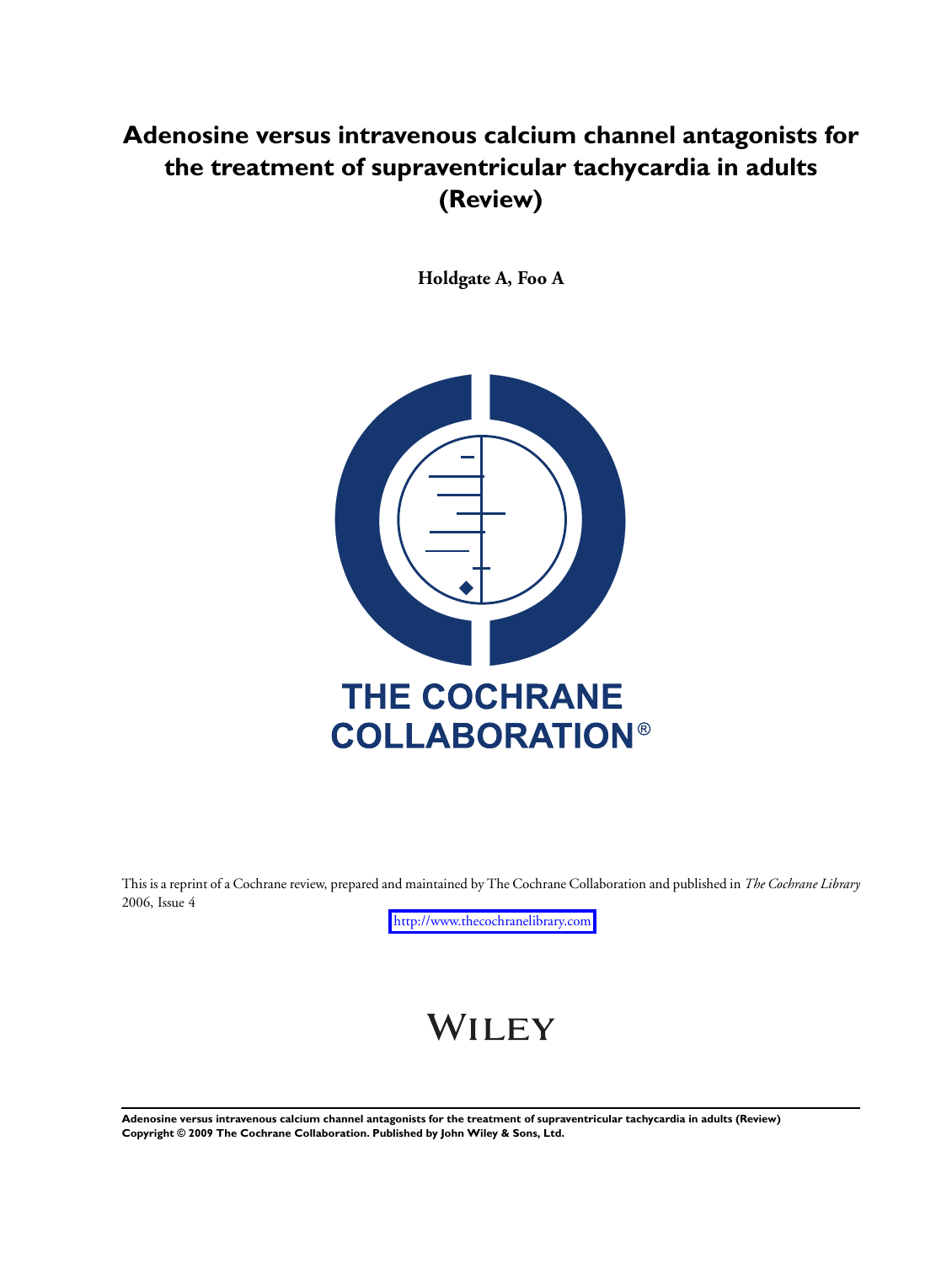## **Adenosine versus intravenous calcium channel antagonists for the treatment of supraventricular tachycardia in adults (Review)**

**Holdgate A, Foo A**



This is a reprint of a Cochrane review, prepared and maintained by The Cochrane Collaboration and published in *The Cochrane Library* 2006, Issue 4

<http://www.thecochranelibrary.com>

# WILEY

**Adenosine versus intravenous calcium channel antagonists for the treatment of supraventricular tachycardia in adults (Review) Copyright © 2009 The Cochrane Collaboration. Published by John Wiley & Sons, Ltd.**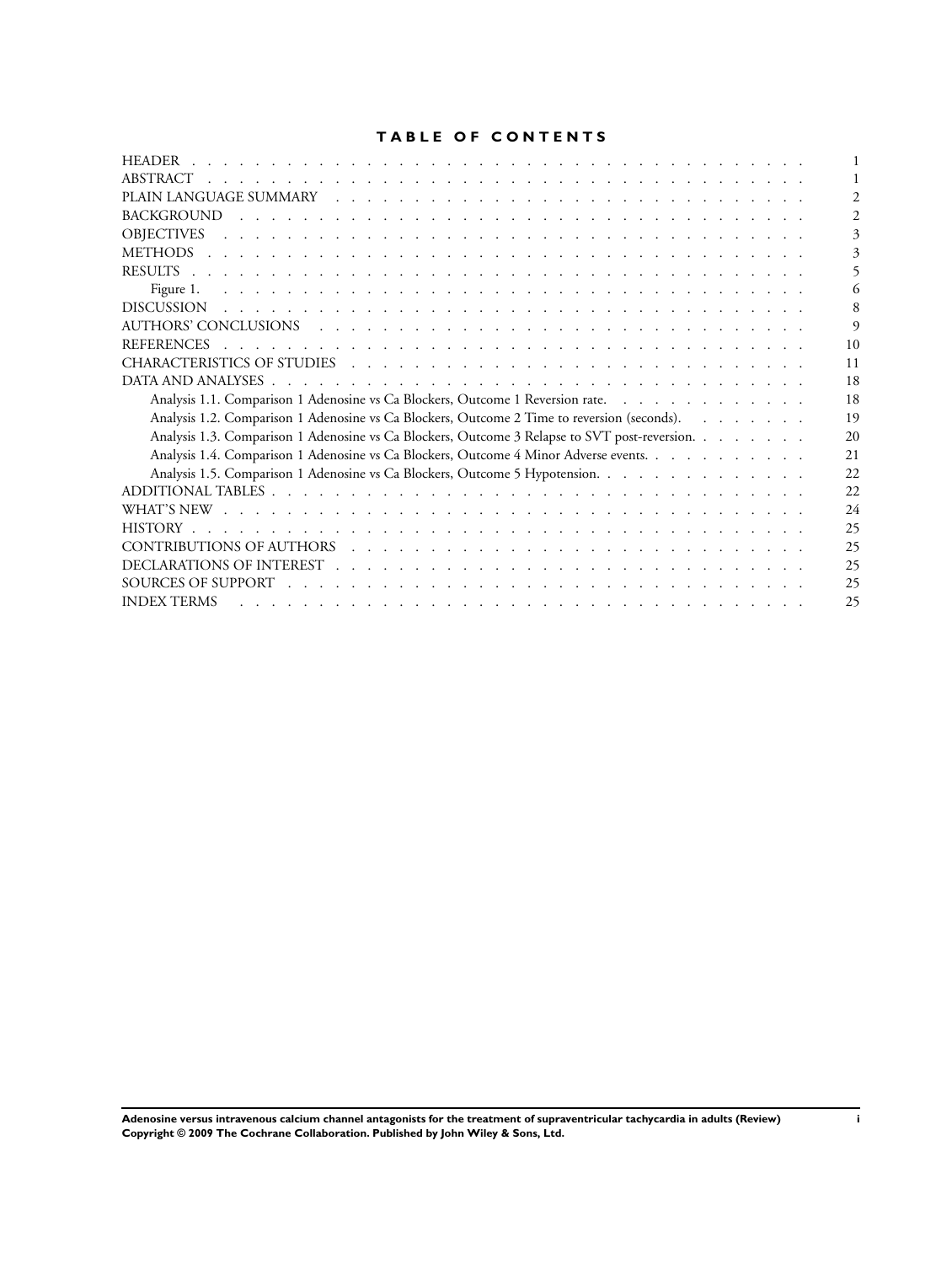## **TABLE OF CONTENTS**

| <b>HEADER</b>                                                                                                                               |    |
|---------------------------------------------------------------------------------------------------------------------------------------------|----|
| <b>ABSTRACT</b>                                                                                                                             |    |
|                                                                                                                                             |    |
| <b>BACKGROUND</b>                                                                                                                           |    |
| <b>OBJECTIVES</b>                                                                                                                           |    |
| <b>METHODS</b>                                                                                                                              |    |
| <b>RESULTS</b>                                                                                                                              |    |
| Figure 1.                                                                                                                                   |    |
| <b>DISCUSSION</b>                                                                                                                           |    |
|                                                                                                                                             |    |
| <b>REFERENCES</b>                                                                                                                           | 10 |
|                                                                                                                                             | 11 |
| DATA AND ANALYSES                                                                                                                           | 18 |
| Analysis 1.1. Comparison 1 Adenosine vs Ca Blockers, Outcome 1 Reversion rate.                                                              | 18 |
| Analysis 1.2. Comparison 1 Adenosine vs Ca Blockers, Outcome 2 Time to reversion (seconds).                                                 | 19 |
| Analysis 1.3. Comparison 1 Adenosine vs Ca Blockers, Outcome 3 Relapse to SVT post-reversion.                                               | 20 |
| Analysis 1.4. Comparison 1 Adenosine vs Ca Blockers, Outcome 4 Minor Adverse events.                                                        | 21 |
| Analysis 1.5. Comparison 1 Adenosine vs Ca Blockers, Outcome 5 Hypotension.                                                                 | 22 |
|                                                                                                                                             | 22 |
|                                                                                                                                             | 24 |
| <b>HISTORY</b><br>a constitución de la constitución de la constitución de la constitución de la constitución de la constitución             | 25 |
| <b>CONTRIBUTIONS OF AUTHORS</b>                                                                                                             | 25 |
| DECLARATIONS OF INTEREST<br>the contract of the contract of the contract of the contract of the contract of the contract of the contract of | 25 |
| SOURCES OF SUPPORT                                                                                                                          | 25 |
| <b>INDEX TERMS</b><br>the contract of the contract of the contract of the contract of the contract of the contract of the contract of       | 25 |

**Adenosine versus intravenous calcium channel antagonists for the treatment of supraventricular tachycardia in adults (Review) i Copyright © 2009 The Cochrane Collaboration. Published by John Wiley & Sons, Ltd.**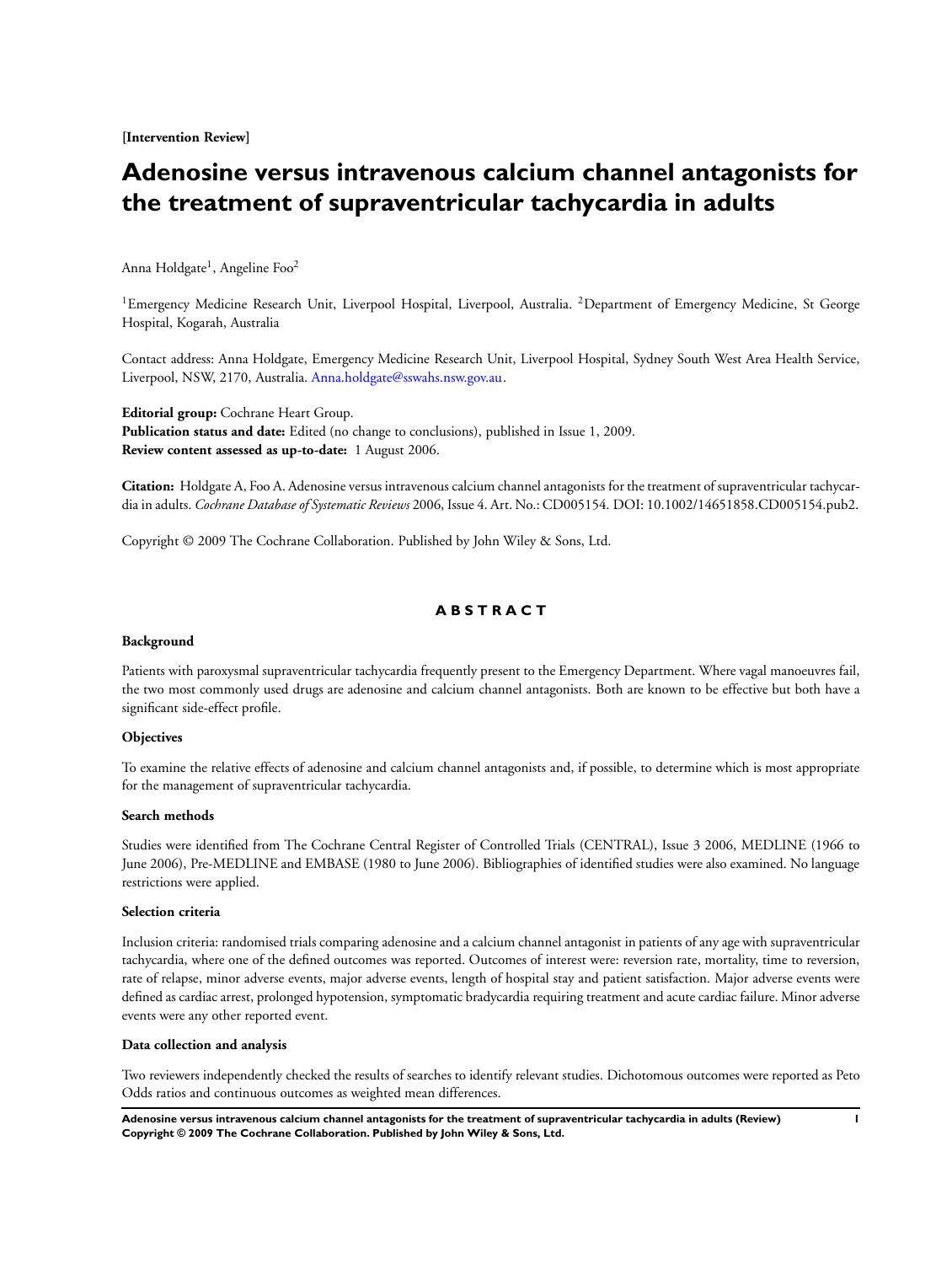**[Intervention Review]**

## **Adenosine versus intravenous calcium channel antagonists for the treatment of supraventricular tachycardia in adults**

Anna Holdgate<sup>1</sup>, Angeline Foo<sup>2</sup>

<sup>1</sup>Emergency Medicine Research Unit, Liverpool Hospital, Liverpool, Australia. <sup>2</sup>Department of Emergency Medicine, St George Hospital, Kogarah, Australia

Contact address: Anna Holdgate, Emergency Medicine Research Unit, Liverpool Hospital, Sydney South West Area Health Service, Liverpool, NSW, 2170, Australia. [Anna.holdgate@sswahs.nsw.gov.au.](mailto:Anna.holdgate@sswahs.nsw.gov.au)

**Editorial group:** Cochrane Heart Group. **Publication status and date:** Edited (no change to conclusions), published in Issue 1, 2009. **Review content assessed as up-to-date:** 1 August 2006.

**Citation:** Holdgate A, Foo A. Adenosine versus intravenous calcium channel antagonists for the treatment of supraventricular tachycardia in adults. *Cochrane Database of Systematic Reviews* 2006, Issue 4. Art. No.: CD005154. DOI: 10.1002/14651858.CD005154.pub2.

Copyright © 2009 The Cochrane Collaboration. Published by John Wiley & Sons, Ltd.

## **A B S T R A C T**

#### **Background**

Patients with paroxysmal supraventricular tachycardia frequently present to the Emergency Department. Where vagal manoeuvres fail, the two most commonly used drugs are adenosine and calcium channel antagonists. Both are known to be effective but both have a significant side-effect profile.

#### **Objectives**

To examine the relative effects of adenosine and calcium channel antagonists and, if possible, to determine which is most appropriate for the management of supraventricular tachycardia.

#### **Search methods**

Studies were identified from The Cochrane Central Register of Controlled Trials (CENTRAL), Issue 3 2006, MEDLINE (1966 to June 2006), Pre-MEDLINE and EMBASE (1980 to June 2006). Bibliographies of identified studies were also examined. No language restrictions were applied.

#### **Selection criteria**

Inclusion criteria: randomised trials comparing adenosine and a calcium channel antagonist in patients of any age with supraventricular tachycardia, where one of the defined outcomes was reported. Outcomes of interest were: reversion rate, mortality, time to reversion, rate of relapse, minor adverse events, major adverse events, length of hospital stay and patient satisfaction. Major adverse events were defined as cardiac arrest, prolonged hypotension, symptomatic bradycardia requiring treatment and acute cardiac failure. Minor adverse events were any other reported event.

## **Data collection and analysis**

Two reviewers independently checked the results of searches to identify relevant studies. Dichotomous outcomes were reported as Peto Odds ratios and continuous outcomes as weighted mean differences.

**Adenosine versus intravenous calcium channel antagonists for the treatment of supraventricular tachycardia in adults (Review) 1 Copyright © 2009 The Cochrane Collaboration. Published by John Wiley & Sons, Ltd.**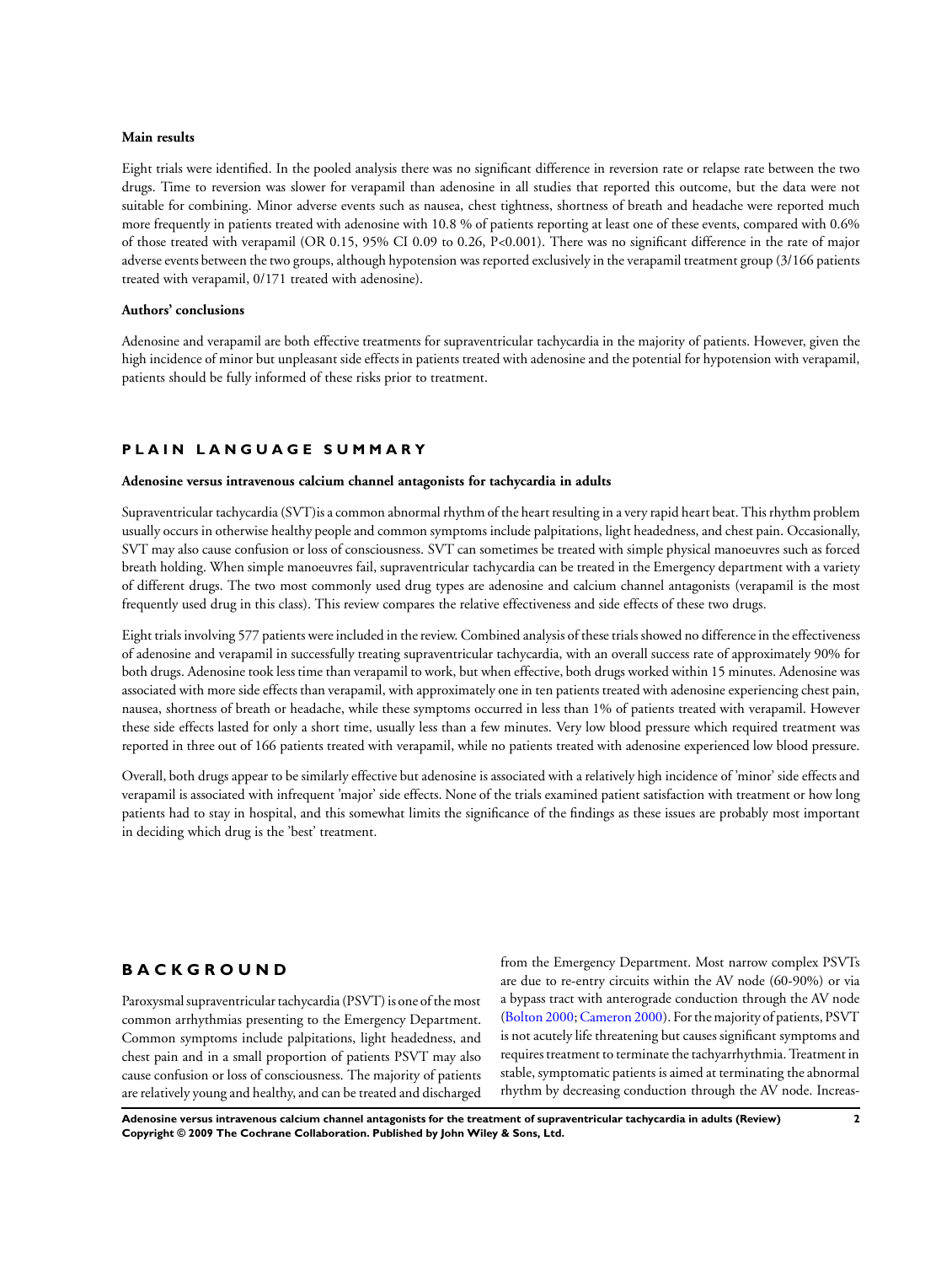#### **Main results**

Eight trials were identified. In the pooled analysis there was no significant difference in reversion rate or relapse rate between the two drugs. Time to reversion was slower for verapamil than adenosine in all studies that reported this outcome, but the data were not suitable for combining. Minor adverse events such as nausea, chest tightness, shortness of breath and headache were reported much more frequently in patients treated with adenosine with 10.8 % of patients reporting at least one of these events, compared with 0.6% of those treated with verapamil (OR 0.15, 95% CI 0.09 to 0.26, P<0.001). There was no significant difference in the rate of major adverse events between the two groups, although hypotension was reported exclusively in the verapamil treatment group (3/166 patients treated with verapamil, 0/171 treated with adenosine).

#### **Authors' conclusions**

Adenosine and verapamil are both effective treatments for supraventricular tachycardia in the majority of patients. However, given the high incidence of minor but unpleasant side effects in patients treated with adenosine and the potential for hypotension with verapamil, patients should be fully informed of these risks prior to treatment.

#### **P L A I N L A N G U A G E S U M M A R Y**

#### **Adenosine versus intravenous calcium channel antagonists for tachycardia in adults**

Supraventricular tachycardia (SVT)is a common abnormal rhythm of the heart resulting in a very rapid heart beat. This rhythm problem usually occurs in otherwise healthy people and common symptoms include palpitations, light headedness, and chest pain. Occasionally, SVT may also cause confusion or loss of consciousness. SVT can sometimes be treated with simple physical manoeuvres such as forced breath holding. When simple manoeuvres fail, supraventricular tachycardia can be treated in the Emergency department with a variety of different drugs. The two most commonly used drug types are adenosine and calcium channel antagonists (verapamil is the most frequently used drug in this class). This review compares the relative effectiveness and side effects of these two drugs.

Eight trials involving 577 patients were included in the review. Combined analysis of these trials showed no difference in the effectiveness of adenosine and verapamil in successfully treating supraventricular tachycardia, with an overall success rate of approximately 90% for both drugs. Adenosine took less time than verapamil to work, but when effective, both drugs worked within 15 minutes. Adenosine was associated with more side effects than verapamil, with approximately one in ten patients treated with adenosine experiencing chest pain, nausea, shortness of breath or headache, while these symptoms occurred in less than 1% of patients treated with verapamil. However these side effects lasted for only a short time, usually less than a few minutes. Very low blood pressure which required treatment was reported in three out of 166 patients treated with verapamil, while no patients treated with adenosine experienced low blood pressure.

Overall, both drugs appear to be similarly effective but adenosine is associated with a relatively high incidence of 'minor' side effects and verapamil is associated with infrequent 'major' side effects. None of the trials examined patient satisfaction with treatment or how long patients had to stay in hospital, and this somewhat limits the significance of the findings as these issues are probably most important in deciding which drug is the 'best' treatment.

## **B A C K G R O U N D**

Paroxysmal supraventricular tachycardia (PSVT) is one of the most common arrhythmias presenting to the Emergency Department. Common symptoms include palpitations, light headedness, and chest pain and in a small proportion of patients PSVT may also cause confusion or loss of consciousness. The majority of patients are relatively young and healthy, and can be treated and discharged from the Emergency Department. Most narrow complex PSVTs are due to re-entry circuits within the AV node (60-90%) or via a bypass tract with anterograde conduction through the AV node [\(Bolton 2000](#page-11-0); [Cameron 2000\)](#page-11-0). For the majority of patients, PSVT is not acutely life threatening but causes significant symptoms and requires treatment to terminate the tachyarrhythmia. Treatment in stable, symptomatic patients is aimed at terminating the abnormal rhythm by decreasing conduction through the AV node. Increas-

**Adenosine versus intravenous calcium channel antagonists for the treatment of supraventricular tachycardia in adults (Review) 2 Copyright © 2009 The Cochrane Collaboration. Published by John Wiley & Sons, Ltd.**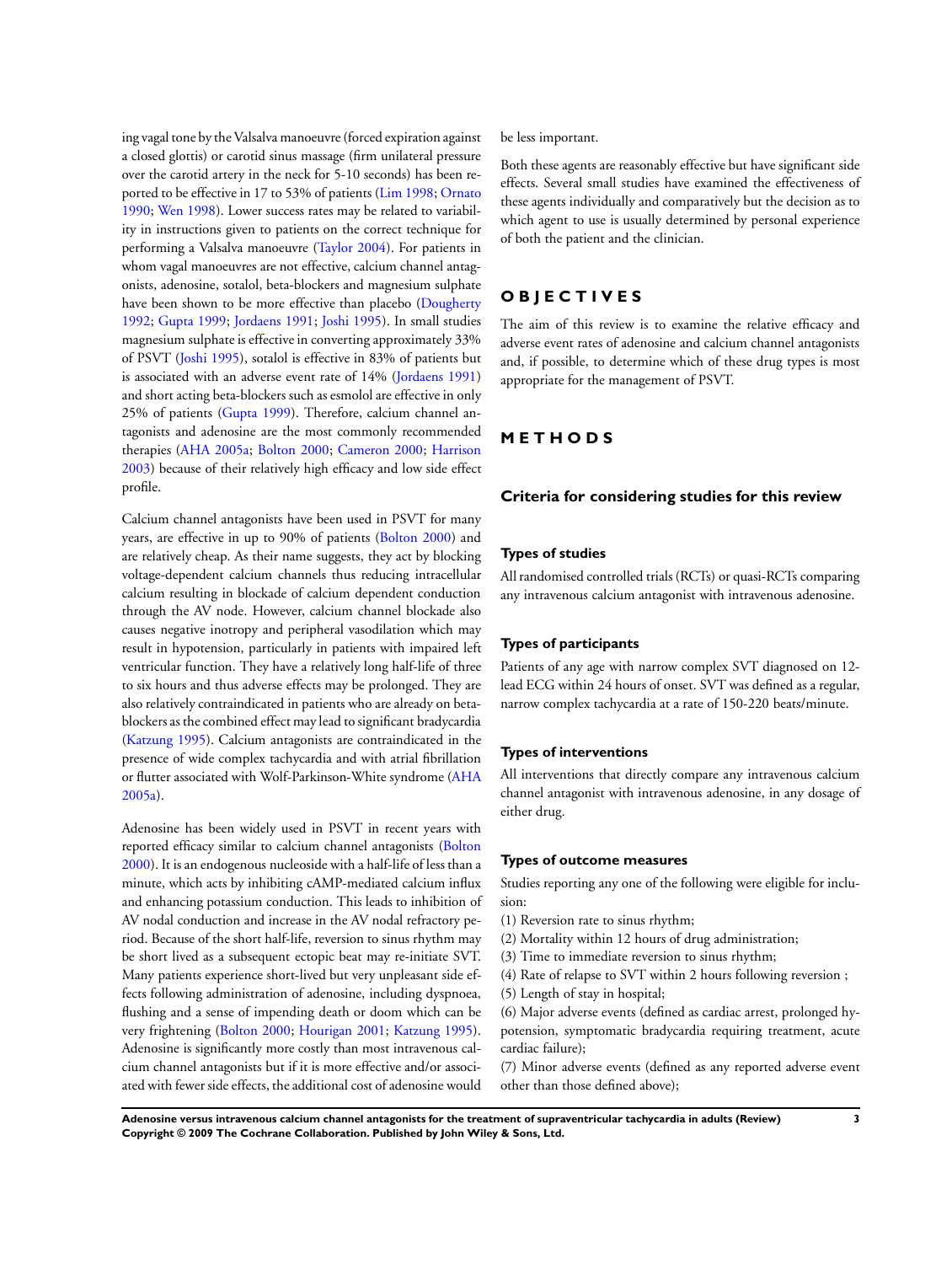ing vagal tone by the Valsalva manoeuvre (forced expiration against a closed glottis) or carotid sinus massage (firm unilateral pressure over the carotid artery in the neck for 5-10 seconds) has been reported to be effective in 17 to 53% of patients [\(Lim 1998;](#page-11-0) [Ornato](#page-11-0) [1990](#page-11-0); [Wen 1998](#page-11-0)). Lower success rates may be related to variability in instructions given to patients on the correct technique for performing a Valsalva manoeuvre ([Taylor 2004\)](#page-11-0). For patients in whom vagal manoeuvres are not effective, calcium channel antagonists, adenosine, sotalol, beta-blockers and magnesium sulphate have been shown to be more effective than placebo [\(Dougherty](#page-11-0) [1992](#page-11-0); [Gupta 1999;](#page-11-0) [Jordaens 1991;](#page-11-0) [Joshi 1995](#page-11-0)). In small studies magnesium sulphate is effective in converting approximately 33% of PSVT [\(Joshi 1995](#page-11-0)), sotalol is effective in 83% of patients but is associated with an adverse event rate of 14% [\(Jordaens 1991](#page-11-0)) and short acting beta-blockers such as esmolol are effective in only 25% of patients ([Gupta 1999](#page-11-0)). Therefore, calcium channel antagonists and adenosine are the most commonly recommended therapies ([AHA 2005a](#page-11-0); [Bolton 2000](#page-11-0); [Cameron 2000;](#page-11-0) [Harrison](#page-11-0) [2003](#page-11-0)) because of their relatively high efficacy and low side effect profile.

Calcium channel antagonists have been used in PSVT for many years, are effective in up to 90% of patients ([Bolton 2000](#page-11-0)) and are relatively cheap. As their name suggests, they act by blocking voltage-dependent calcium channels thus reducing intracellular calcium resulting in blockade of calcium dependent conduction through the AV node. However, calcium channel blockade also causes negative inotropy and peripheral vasodilation which may result in hypotension, particularly in patients with impaired left ventricular function. They have a relatively long half-life of three to six hours and thus adverse effects may be prolonged. They are also relatively contraindicated in patients who are already on betablockers as the combined effect may lead to significant bradycardia [\(Katzung 1995](#page-11-0)). Calcium antagonists are contraindicated in the presence of wide complex tachycardia and with atrial fibrillation or flutter associated with Wolf-Parkinson-White syndrome ([AHA](#page-11-0) [2005a\)](#page-11-0).

Adenosine has been widely used in PSVT in recent years with reported efficacy similar to calcium channel antagonists [\(Bolton](#page-11-0) [2000](#page-11-0)). It is an endogenous nucleoside with a half-life of less than a minute, which acts by inhibiting cAMP-mediated calcium influx and enhancing potassium conduction. This leads to inhibition of AV nodal conduction and increase in the AV nodal refractory period. Because of the short half-life, reversion to sinus rhythm may be short lived as a subsequent ectopic beat may re-initiate SVT. Many patients experience short-lived but very unpleasant side effects following administration of adenosine, including dyspnoea, flushing and a sense of impending death or doom which can be very frightening ([Bolton 2000](#page-11-0); [Hourigan 2001](#page-11-0); [Katzung 1995](#page-11-0)). Adenosine is significantly more costly than most intravenous calcium channel antagonists but if it is more effective and/or associated with fewer side effects, the additional cost of adenosine would

be less important.

Both these agents are reasonably effective but have significant side effects. Several small studies have examined the effectiveness of these agents individually and comparatively but the decision as to which agent to use is usually determined by personal experience of both the patient and the clinician.

## **O B J E C T I V E S**

The aim of this review is to examine the relative efficacy and adverse event rates of adenosine and calcium channel antagonists and, if possible, to determine which of these drug types is most appropriate for the management of PSVT.

## **M E T H O D S**

## **Criteria for considering studies for this review**

### **Types of studies**

All randomised controlled trials (RCTs) or quasi-RCTs comparing any intravenous calcium antagonist with intravenous adenosine.

#### **Types of participants**

Patients of any age with narrow complex SVT diagnosed on 12 lead ECG within 24 hours of onset. SVT was defined as a regular, narrow complex tachycardia at a rate of 150-220 beats/minute.

#### **Types of interventions**

All interventions that directly compare any intravenous calcium channel antagonist with intravenous adenosine, in any dosage of either drug.

#### **Types of outcome measures**

Studies reporting any one of the following were eligible for inclusion:

- (1) Reversion rate to sinus rhythm;
- (2) Mortality within 12 hours of drug administration;
- (3) Time to immediate reversion to sinus rhythm;
- (4) Rate of relapse to SVT within 2 hours following reversion ;
- (5) Length of stay in hospital;

(6) Major adverse events (defined as cardiac arrest, prolonged hypotension, symptomatic bradycardia requiring treatment, acute cardiac failure);

(7) Minor adverse events (defined as any reported adverse event other than those defined above);

**Adenosine versus intravenous calcium channel antagonists for the treatment of supraventricular tachycardia in adults (Review) 3 Copyright © 2009 The Cochrane Collaboration. Published by John Wiley & Sons, Ltd.**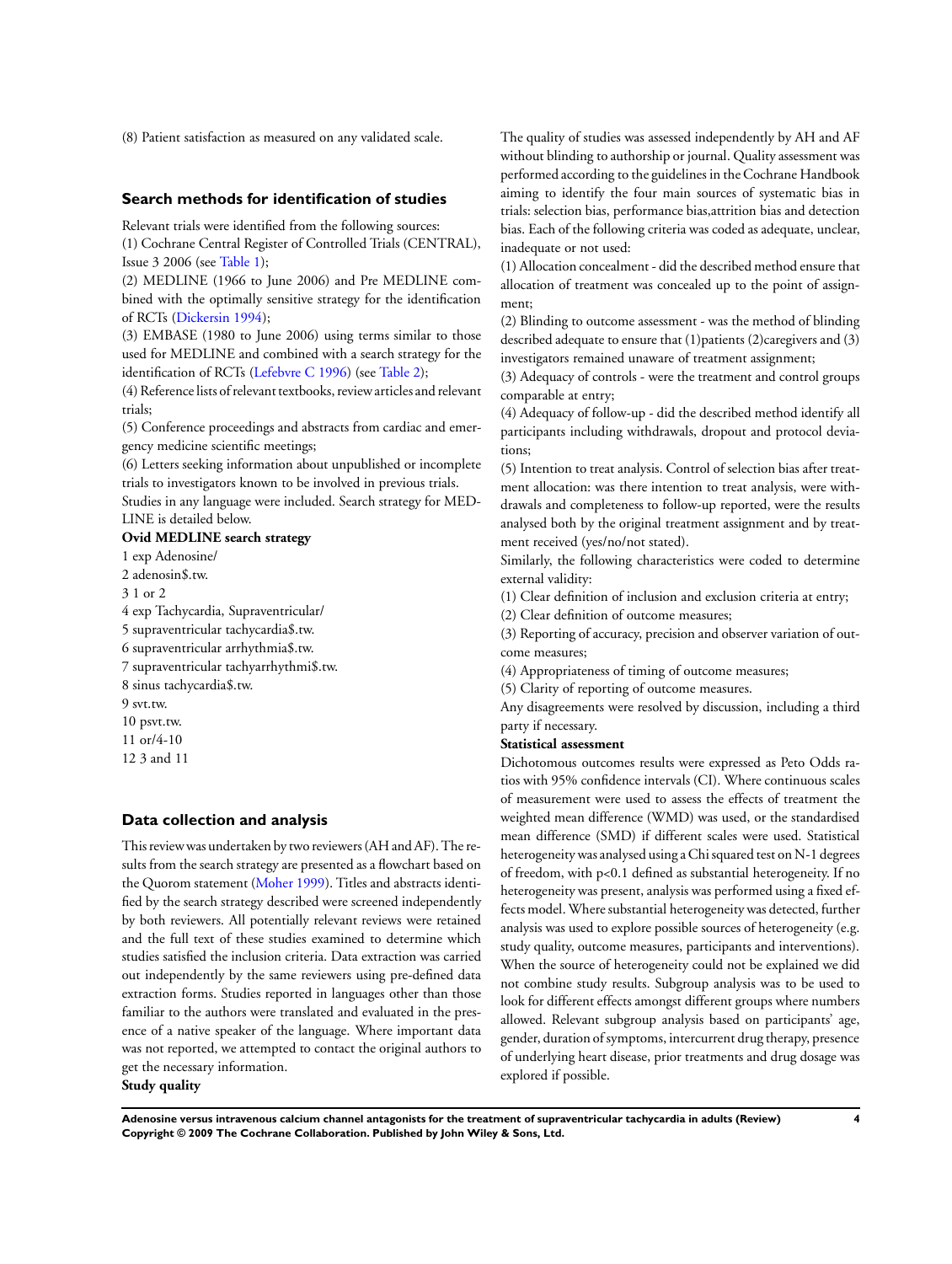(8) Patient satisfaction as measured on any validated scale.

## **Search methods for identification of studies**

Relevant trials were identified from the following sources:

(1) Cochrane Central Register of Controlled Trials (CENTRAL), Issue 3 2006 (see [Table 1](#page-24-0));

(2) MEDLINE (1966 to June 2006) and Pre MEDLINE combined with the optimally sensitive strategy for the identification of RCTs [\(Dickersin 1994](#page-11-0));

(3) EMBASE (1980 to June 2006) using terms similar to those used for MEDLINE and combined with a search strategy for the identification of RCTs ([Lefebvre C 1996](#page-11-0)) (see [Table 2](#page-24-0));

(4) Reference lists of relevant textbooks, review articles and relevant trials;

(5) Conference proceedings and abstracts from cardiac and emergency medicine scientific meetings;

(6) Letters seeking information about unpublished or incomplete trials to investigators known to be involved in previous trials.

Studies in any language were included. Search strategy for MED-LINE is detailed below.

## **Ovid MEDLINE search strategy**

1 exp Adenosine/ 2 adenosin\$.tw. 3 1 or 2

4 exp Tachycardia, Supraventricular/

5 supraventricular tachycardia\$.tw.

6 supraventricular arrhythmia\$.tw.

7 supraventricular tachyarrhythmi\$.tw.

8 sinus tachycardia\$.tw.

9 svt.tw.

10 psvt.tw.

11 or/4-10

12 3 and 11

## **Data collection and analysis**

This review was undertaken by two reviewers (AH and AF). The results from the search strategy are presented as a flowchart based on the Quorom statement ([Moher 1999](#page-11-0)). Titles and abstracts identified by the search strategy described were screened independently by both reviewers. All potentially relevant reviews were retained and the full text of these studies examined to determine which studies satisfied the inclusion criteria. Data extraction was carried out independently by the same reviewers using pre-defined data extraction forms. Studies reported in languages other than those familiar to the authors were translated and evaluated in the presence of a native speaker of the language. Where important data was not reported, we attempted to contact the original authors to get the necessary information.

### **Study quality**

The quality of studies was assessed independently by AH and AF without blinding to authorship or journal. Quality assessment was performed according to the guidelines in the Cochrane Handbook aiming to identify the four main sources of systematic bias in trials: selection bias, performance bias,attrition bias and detection bias. Each of the following criteria was coded as adequate, unclear, inadequate or not used:

(1) Allocation concealment - did the described method ensure that allocation of treatment was concealed up to the point of assignment;

(2) Blinding to outcome assessment - was the method of blinding described adequate to ensure that (1)patients (2)caregivers and (3) investigators remained unaware of treatment assignment;

(3) Adequacy of controls - were the treatment and control groups comparable at entry;

(4) Adequacy of follow-up - did the described method identify all participants including withdrawals, dropout and protocol deviations;

(5) Intention to treat analysis. Control of selection bias after treatment allocation: was there intention to treat analysis, were withdrawals and completeness to follow-up reported, were the results analysed both by the original treatment assignment and by treatment received (yes/no/not stated).

Similarly, the following characteristics were coded to determine external validity:

(1) Clear definition of inclusion and exclusion criteria at entry;

(2) Clear definition of outcome measures;

(3) Reporting of accuracy, precision and observer variation of outcome measures;

(4) Appropriateness of timing of outcome measures;

(5) Clarity of reporting of outcome measures.

Any disagreements were resolved by discussion, including a third party if necessary.

#### **Statistical assessment**

Dichotomous outcomes results were expressed as Peto Odds ratios with 95% confidence intervals (CI). Where continuous scales of measurement were used to assess the effects of treatment the weighted mean difference (WMD) was used, or the standardised mean difference (SMD) if different scales were used. Statistical heterogeneity was analysed using a Chi squared test on N-1 degrees of freedom, with p<0.1 defined as substantial heterogeneity. If no heterogeneity was present, analysis was performed using a fixed effects model. Where substantial heterogeneity was detected, further analysis was used to explore possible sources of heterogeneity (e.g. study quality, outcome measures, participants and interventions). When the source of heterogeneity could not be explained we did not combine study results. Subgroup analysis was to be used to look for different effects amongst different groups where numbers allowed. Relevant subgroup analysis based on participants' age, gender, duration of symptoms, intercurrent drug therapy, presence of underlying heart disease, prior treatments and drug dosage was explored if possible.

**Adenosine versus intravenous calcium channel antagonists for the treatment of supraventricular tachycardia in adults (Review) 4 Copyright © 2009 The Cochrane Collaboration. Published by John Wiley & Sons, Ltd.**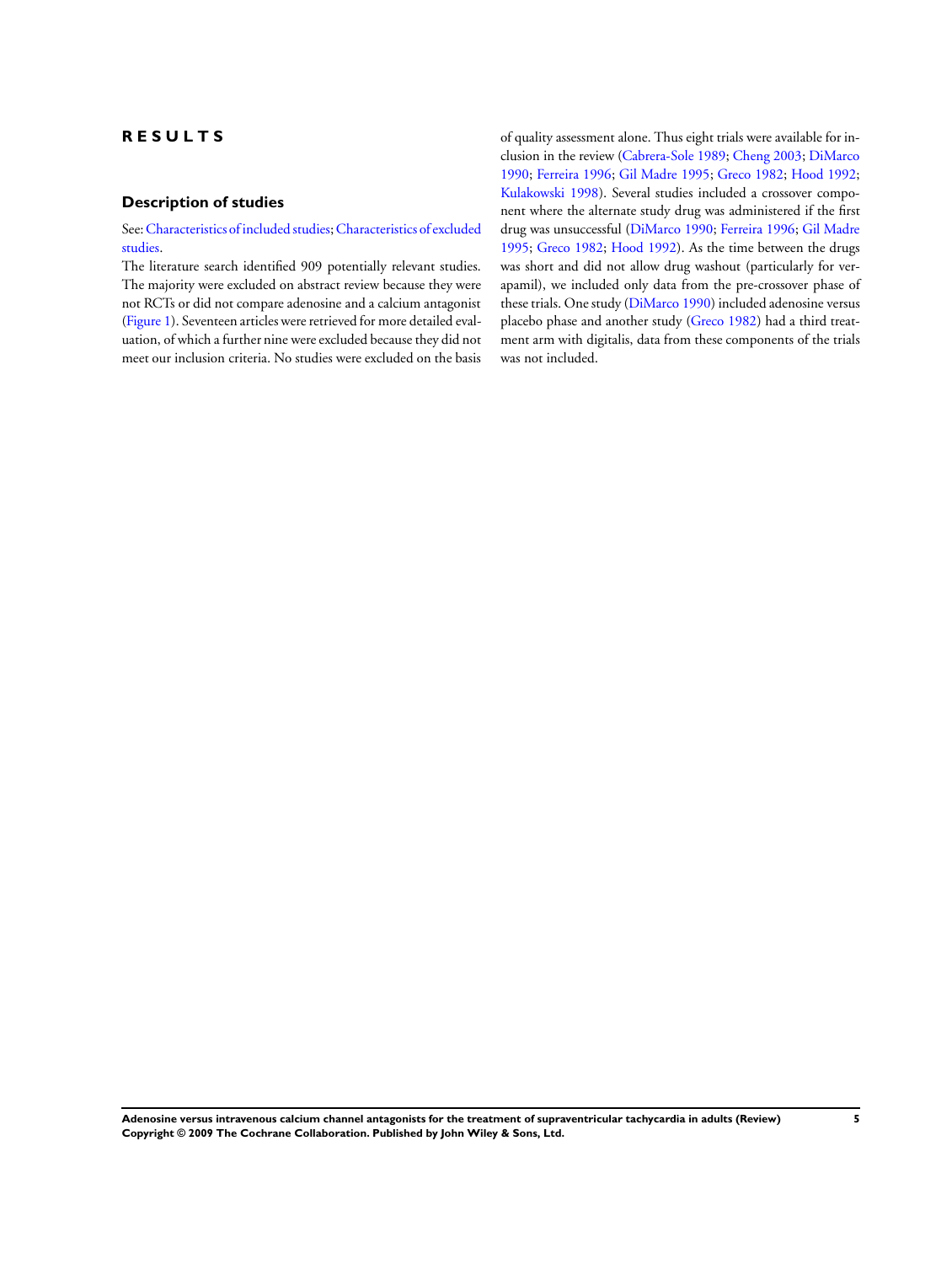## **R E S U L T S**

## **Description of studies**

## See:[Characteristics of included studies;](#page-13-0)[Characteristics of excluded](#page-18-0) [studies.](#page-18-0)

The literature search identified 909 potentially relevant studies. The majority were excluded on abstract review because they were not RCTs or did not compare adenosine and a calcium antagonist [\(Figure 1](#page-7-0)). Seventeen articles were retrieved for more detailed evaluation, of which a further nine were excluded because they did not meet our inclusion criteria. No studies were excluded on the basis of quality assessment alone. Thus eight trials were available for inclusion in the review [\(Cabrera-Sole 1989](#page-11-0); [Cheng 2003;](#page-11-0) [DiMarco](#page-11-0) [1990](#page-11-0); [Ferreira 1996;](#page-11-0) [Gil Madre 1995](#page-11-0); [Greco 1982](#page-11-0); [Hood 1992;](#page-11-0) [Kulakowski 1998\)](#page-11-0). Several studies included a crossover component where the alternate study drug was administered if the first drug was unsuccessful [\(DiMarco 1990](#page-11-0); [Ferreira 1996;](#page-11-0) [Gil Madre](#page-11-0) [1995](#page-11-0); [Greco 1982;](#page-11-0) [Hood 1992](#page-11-0)). As the time between the drugs was short and did not allow drug washout (particularly for verapamil), we included only data from the pre-crossover phase of these trials. One study [\(DiMarco 1990\)](#page-11-0) included adenosine versus placebo phase and another study [\(Greco 1982\)](#page-11-0) had a third treatment arm with digitalis, data from these components of the trials was not included.

**Adenosine versus intravenous calcium channel antagonists for the treatment of supraventricular tachycardia in adults (Review) 5 Copyright © 2009 The Cochrane Collaboration. Published by John Wiley & Sons, Ltd.**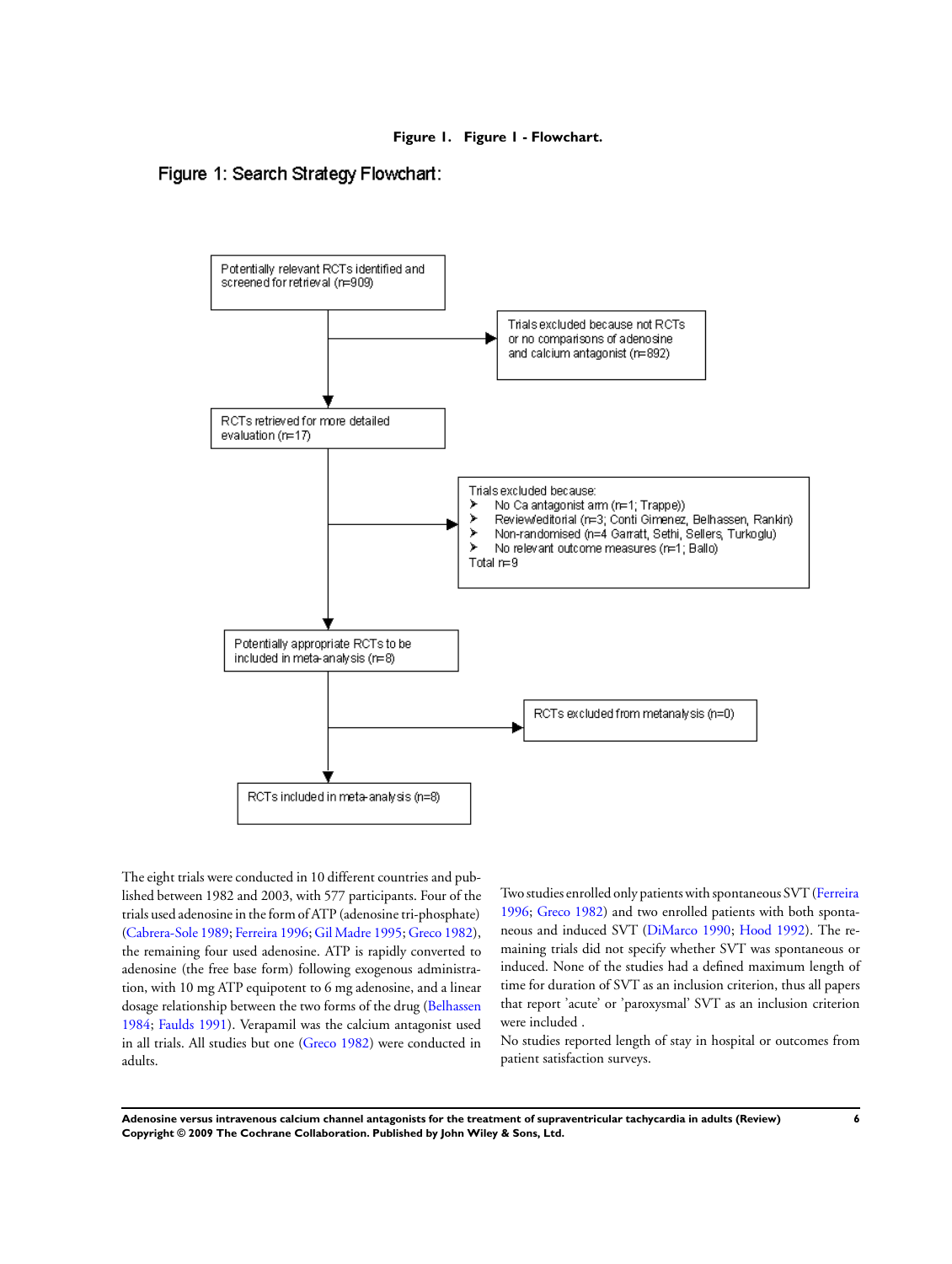

## <span id="page-7-0"></span>Figure 1: Search Strategy Flowchart:



The eight trials were conducted in 10 different countries and published between 1982 and 2003, with 577 participants. Four of the trials used adenosine in the form of ATP (adenosine tri-phosphate) [\(Cabrera-Sole 1989](#page-11-0); [Ferreira 1996](#page-11-0); [Gil Madre 1995;](#page-11-0) [Greco 1982](#page-11-0)), the remaining four used adenosine. ATP is rapidly converted to adenosine (the free base form) following exogenous administration, with 10 mg ATP equipotent to 6 mg adenosine, and a linear dosage relationship between the two forms of the drug ([Belhassen](#page-11-0) [1984](#page-11-0); [Faulds 1991](#page-11-0)). Verapamil was the calcium antagonist used in all trials. All studies but one ([Greco 1982](#page-11-0)) were conducted in adults.

Two studies enrolled only patients with spontaneous SVT ([Ferreira](#page-11-0) [1996](#page-11-0); [Greco 1982\)](#page-11-0) and two enrolled patients with both spontaneous and induced SVT ([DiMarco 1990;](#page-11-0) [Hood 1992\)](#page-11-0). The remaining trials did not specify whether SVT was spontaneous or induced. None of the studies had a defined maximum length of time for duration of SVT as an inclusion criterion, thus all papers that report 'acute' or 'paroxysmal' SVT as an inclusion criterion were included .

No studies reported length of stay in hospital or outcomes from patient satisfaction surveys.

**Adenosine versus intravenous calcium channel antagonists for the treatment of supraventricular tachycardia in adults (Review) 6 Copyright © 2009 The Cochrane Collaboration. Published by John Wiley & Sons, Ltd.**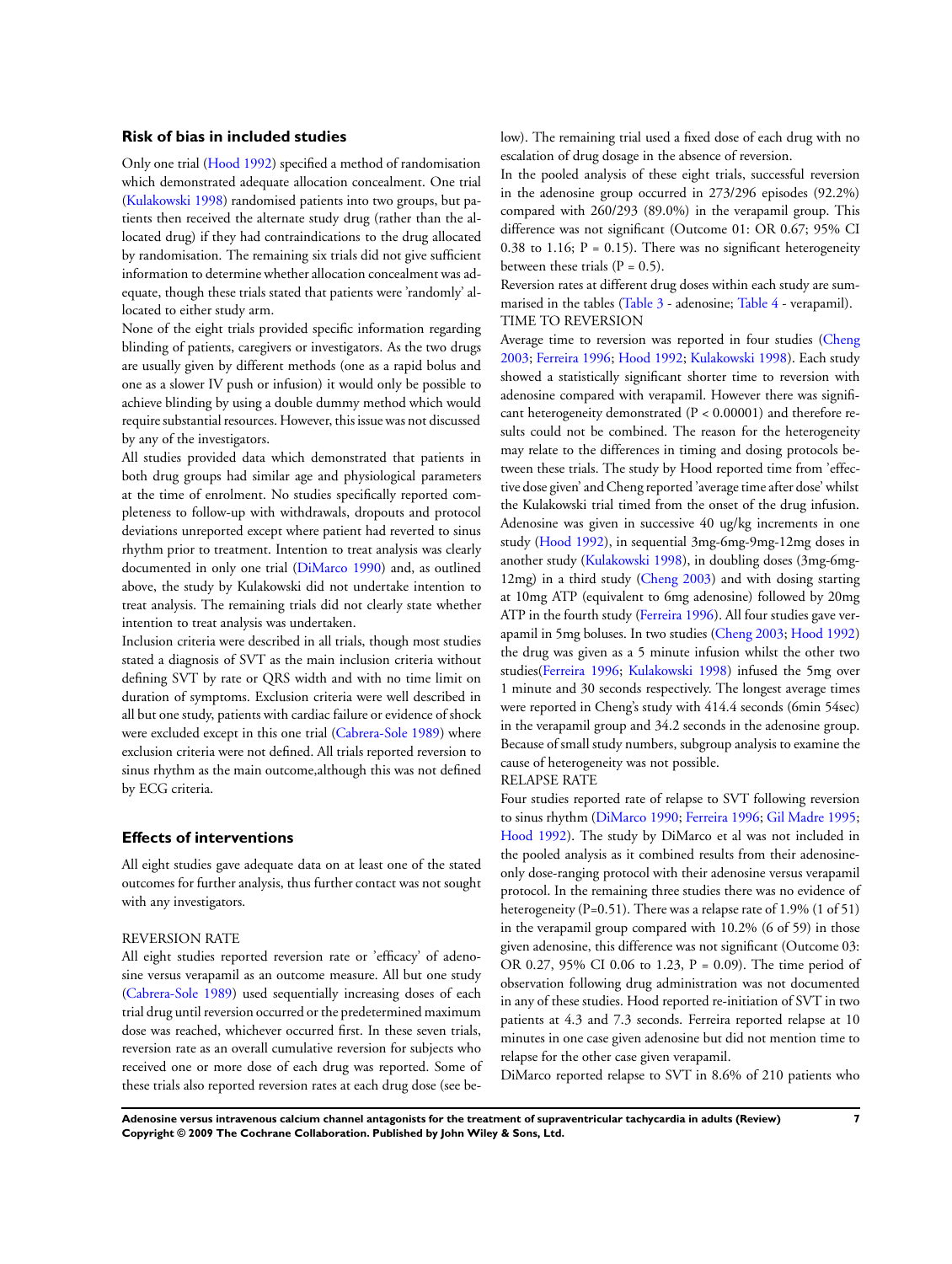## **Risk of bias in included studies**

Only one trial ([Hood 1992](#page-11-0)) specified a method of randomisation which demonstrated adequate allocation concealment. One trial [\(Kulakowski 1998\)](#page-11-0) randomised patients into two groups, but patients then received the alternate study drug (rather than the allocated drug) if they had contraindications to the drug allocated by randomisation. The remaining six trials did not give sufficient information to determine whether allocation concealment was adequate, though these trials stated that patients were 'randomly' allocated to either study arm.

None of the eight trials provided specific information regarding blinding of patients, caregivers or investigators. As the two drugs are usually given by different methods (one as a rapid bolus and one as a slower IV push or infusion) it would only be possible to achieve blinding by using a double dummy method which would require substantial resources. However, this issue was not discussed by any of the investigators.

All studies provided data which demonstrated that patients in both drug groups had similar age and physiological parameters at the time of enrolment. No studies specifically reported completeness to follow-up with withdrawals, dropouts and protocol deviations unreported except where patient had reverted to sinus rhythm prior to treatment. Intention to treat analysis was clearly documented in only one trial ([DiMarco 1990\)](#page-11-0) and, as outlined above, the study by Kulakowski did not undertake intention to treat analysis. The remaining trials did not clearly state whether intention to treat analysis was undertaken.

Inclusion criteria were described in all trials, though most studies stated a diagnosis of SVT as the main inclusion criteria without defining SVT by rate or QRS width and with no time limit on duration of symptoms. Exclusion criteria were well described in all but one study, patients with cardiac failure or evidence of shock were excluded except in this one trial [\(Cabrera-Sole 1989](#page-11-0)) where exclusion criteria were not defined. All trials reported reversion to sinus rhythm as the main outcome,although this was not defined by ECG criteria.

## **Effects of interventions**

All eight studies gave adequate data on at least one of the stated outcomes for further analysis, thus further contact was not sought with any investigators.

#### REVERSION RATE

All eight studies reported reversion rate or 'efficacy' of adenosine versus verapamil as an outcome measure. All but one study [\(Cabrera-Sole 1989](#page-11-0)) used sequentially increasing doses of each trial drug until reversion occurred or the predetermined maximum dose was reached, whichever occurred first. In these seven trials, reversion rate as an overall cumulative reversion for subjects who received one or more dose of each drug was reported. Some of these trials also reported reversion rates at each drug dose (see below). The remaining trial used a fixed dose of each drug with no escalation of drug dosage in the absence of reversion.

In the pooled analysis of these eight trials, successful reversion in the adenosine group occurred in 273/296 episodes (92.2%) compared with 260/293 (89.0%) in the verapamil group. This difference was not significant (Outcome 01: OR 0.67; 95% CI 0.38 to 1.16;  $P = 0.15$ ). There was no significant heterogeneity between these trials  $(P = 0.5)$ .

Reversion rates at different drug doses within each study are summarised in the tables ([Table 3](#page-24-0) - adenosine; [Table 4](#page-25-0) - verapamil). TIME TO REVERSION

Average time to reversion was reported in four studies [\(Cheng](#page-11-0) [2003](#page-11-0); [Ferreira 1996](#page-11-0); [Hood 1992;](#page-11-0) [Kulakowski 1998\)](#page-11-0). Each study showed a statistically significant shorter time to reversion with adenosine compared with verapamil. However there was significant heterogeneity demonstrated (P < 0.00001) and therefore results could not be combined. The reason for the heterogeneity may relate to the differences in timing and dosing protocols between these trials. The study by Hood reported time from 'effective dose given' and Cheng reported 'average time after dose' whilst the Kulakowski trial timed from the onset of the drug infusion. Adenosine was given in successive 40 ug/kg increments in one study [\(Hood 1992](#page-11-0)), in sequential 3mg-6mg-9mg-12mg doses in another study [\(Kulakowski 1998](#page-11-0)), in doubling doses (3mg-6mg-12mg) in a third study [\(Cheng 2003](#page-11-0)) and with dosing starting at 10mg ATP (equivalent to 6mg adenosine) followed by 20mg ATP in the fourth study [\(Ferreira 1996\)](#page-11-0). All four studies gave verapamil in 5mg boluses. In two studies ([Cheng 2003;](#page-11-0) [Hood 1992](#page-11-0)) the drug was given as a 5 minute infusion whilst the other two studies([Ferreira 1996;](#page-11-0) [Kulakowski 1998](#page-11-0)) infused the 5mg over 1 minute and 30 seconds respectively. The longest average times were reported in Cheng's study with 414.4 seconds (6min 54sec) in the verapamil group and 34.2 seconds in the adenosine group. Because of small study numbers, subgroup analysis to examine the cause of heterogeneity was not possible.

### RELAPSE RATE

Four studies reported rate of relapse to SVT following reversion to sinus rhythm ([DiMarco 1990;](#page-11-0) [Ferreira 1996;](#page-11-0) [Gil Madre 1995;](#page-11-0) [Hood 1992\)](#page-11-0). The study by DiMarco et al was not included in the pooled analysis as it combined results from their adenosineonly dose-ranging protocol with their adenosine versus verapamil protocol. In the remaining three studies there was no evidence of heterogeneity (P=0.51). There was a relapse rate of 1.9% (1 of 51) in the verapamil group compared with 10.2% (6 of 59) in those given adenosine, this difference was not significant (Outcome 03: OR 0.27, 95% CI 0.06 to 1.23, P = 0.09). The time period of observation following drug administration was not documented in any of these studies. Hood reported re-initiation of SVT in two patients at 4.3 and 7.3 seconds. Ferreira reported relapse at 10 minutes in one case given adenosine but did not mention time to relapse for the other case given verapamil.

DiMarco reported relapse to SVT in 8.6% of 210 patients who

**Adenosine versus intravenous calcium channel antagonists for the treatment of supraventricular tachycardia in adults (Review) 7 Copyright © 2009 The Cochrane Collaboration. Published by John Wiley & Sons, Ltd.**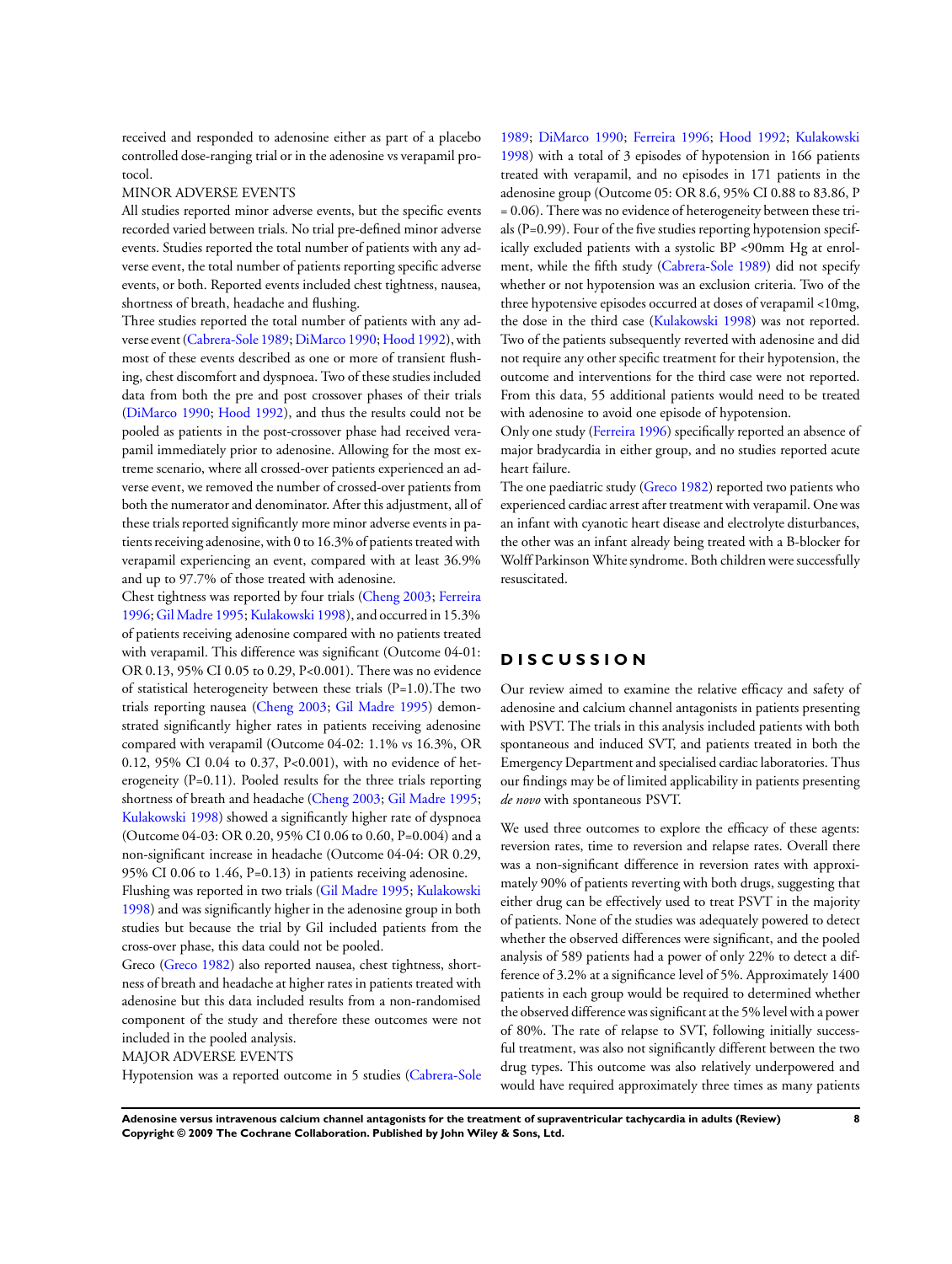received and responded to adenosine either as part of a placebo controlled dose-ranging trial or in the adenosine vs verapamil protocol.

#### MINOR ADVERSE EVENTS

All studies reported minor adverse events, but the specific events recorded varied between trials. No trial pre-defined minor adverse events. Studies reported the total number of patients with any adverse event, the total number of patients reporting specific adverse events, or both. Reported events included chest tightness, nausea, shortness of breath, headache and flushing.

Three studies reported the total number of patients with any ad-verse event [\(Cabrera-Sole 1989](#page-11-0); [DiMarco 1990;](#page-11-0) [Hood 1992](#page-11-0)), with most of these events described as one or more of transient flushing, chest discomfort and dyspnoea. Two of these studies included data from both the pre and post crossover phases of their trials [\(DiMarco 1990;](#page-11-0) [Hood 1992\)](#page-11-0), and thus the results could not be pooled as patients in the post-crossover phase had received verapamil immediately prior to adenosine. Allowing for the most extreme scenario, where all crossed-over patients experienced an adverse event, we removed the number of crossed-over patients from both the numerator and denominator. After this adjustment, all of these trials reported significantly more minor adverse events in patients receiving adenosine, with 0 to 16.3% of patients treated with verapamil experiencing an event, compared with at least 36.9% and up to 97.7% of those treated with adenosine.

Chest tightness was reported by four trials ([Cheng 2003](#page-11-0); [Ferreira](#page-11-0) [1996](#page-11-0); Gil Madre 1995; Kulakowski 1998), and occurred in 15.3% of patients receiving adenosine compared with no patients treated with verapamil. This difference was significant (Outcome 04-01: OR 0.13, 95% CI 0.05 to 0.29, P<0.001). There was no evidence of statistical heterogeneity between these trials (P=1.0).The two trials reporting nausea [\(Cheng 2003;](#page-11-0) [Gil Madre 1995](#page-11-0)) demonstrated significantly higher rates in patients receiving adenosine compared with verapamil (Outcome 04-02: 1.1% vs 16.3%, OR 0.12, 95% CI 0.04 to 0.37, P<0.001), with no evidence of heterogeneity (P=0.11). Pooled results for the three trials reporting shortness of breath and headache [\(Cheng 2003](#page-11-0); [Gil Madre 1995;](#page-11-0) [Kulakowski 1998\)](#page-11-0) showed a significantly higher rate of dyspnoea (Outcome 04-03: OR 0.20, 95% CI 0.06 to 0.60, P=0.004) and a non-significant increase in headache (Outcome 04-04: OR 0.29, 95% CI 0.06 to 1.46, P=0.13) in patients receiving adenosine.

Flushing was reported in two trials [\(Gil Madre 1995](#page-11-0); [Kulakowski](#page-11-0) [1998](#page-11-0)) and was significantly higher in the adenosine group in both studies but because the trial by Gil included patients from the cross-over phase, this data could not be pooled.

Greco ([Greco 1982](#page-11-0)) also reported nausea, chest tightness, shortness of breath and headache at higher rates in patients treated with adenosine but this data included results from a non-randomised component of the study and therefore these outcomes were not included in the pooled analysis.

MAJOR ADVERSE EVENTS

Hypotension was a reported outcome in 5 studies [\(Cabrera-Sole](#page-11-0)

[1989](#page-11-0); [DiMarco 1990](#page-11-0); [Ferreira 1996](#page-11-0); [Hood 1992](#page-11-0); [Kulakowski](#page-11-0) [1998](#page-11-0)) with a total of 3 episodes of hypotension in 166 patients treated with verapamil, and no episodes in 171 patients in the adenosine group (Outcome 05: OR 8.6, 95% CI 0.88 to 83.86, P = 0.06). There was no evidence of heterogeneity between these trials (P=0.99). Four of the five studies reporting hypotension specifically excluded patients with a systolic BP <90mm Hg at enrolment, while the fifth study [\(Cabrera-Sole 1989\)](#page-11-0) did not specify whether or not hypotension was an exclusion criteria. Two of the three hypotensive episodes occurred at doses of verapamil <10mg, the dose in the third case [\(Kulakowski 1998\)](#page-11-0) was not reported. Two of the patients subsequently reverted with adenosine and did not require any other specific treatment for their hypotension, the outcome and interventions for the third case were not reported. From this data, 55 additional patients would need to be treated with adenosine to avoid one episode of hypotension.

Only one study [\(Ferreira 1996](#page-11-0)) specifically reported an absence of major bradycardia in either group, and no studies reported acute heart failure.

The one paediatric study ([Greco 1982\)](#page-11-0) reported two patients who experienced cardiac arrest after treatment with verapamil. One was an infant with cyanotic heart disease and electrolyte disturbances, the other was an infant already being treated with a B-blocker for Wolff Parkinson White syndrome. Both children were successfully resuscitated.

## **D I S C U S S I O N**

Our review aimed to examine the relative efficacy and safety of adenosine and calcium channel antagonists in patients presenting with PSVT. The trials in this analysis included patients with both spontaneous and induced SVT, and patients treated in both the Emergency Department and specialised cardiac laboratories. Thus our findings may be of limited applicability in patients presenting *de novo* with spontaneous PSVT.

We used three outcomes to explore the efficacy of these agents: reversion rates, time to reversion and relapse rates. Overall there was a non-significant difference in reversion rates with approximately 90% of patients reverting with both drugs, suggesting that either drug can be effectively used to treat PSVT in the majority of patients. None of the studies was adequately powered to detect whether the observed differences were significant, and the pooled analysis of 589 patients had a power of only 22% to detect a difference of 3.2% at a significance level of 5%. Approximately 1400 patients in each group would be required to determined whether the observed difference was significant at the 5% level with a power of 80%. The rate of relapse to SVT, following initially successful treatment, was also not significantly different between the two drug types. This outcome was also relatively underpowered and would have required approximately three times as many patients

**Adenosine versus intravenous calcium channel antagonists for the treatment of supraventricular tachycardia in adults (Review) 8 Copyright © 2009 The Cochrane Collaboration. Published by John Wiley & Sons, Ltd.**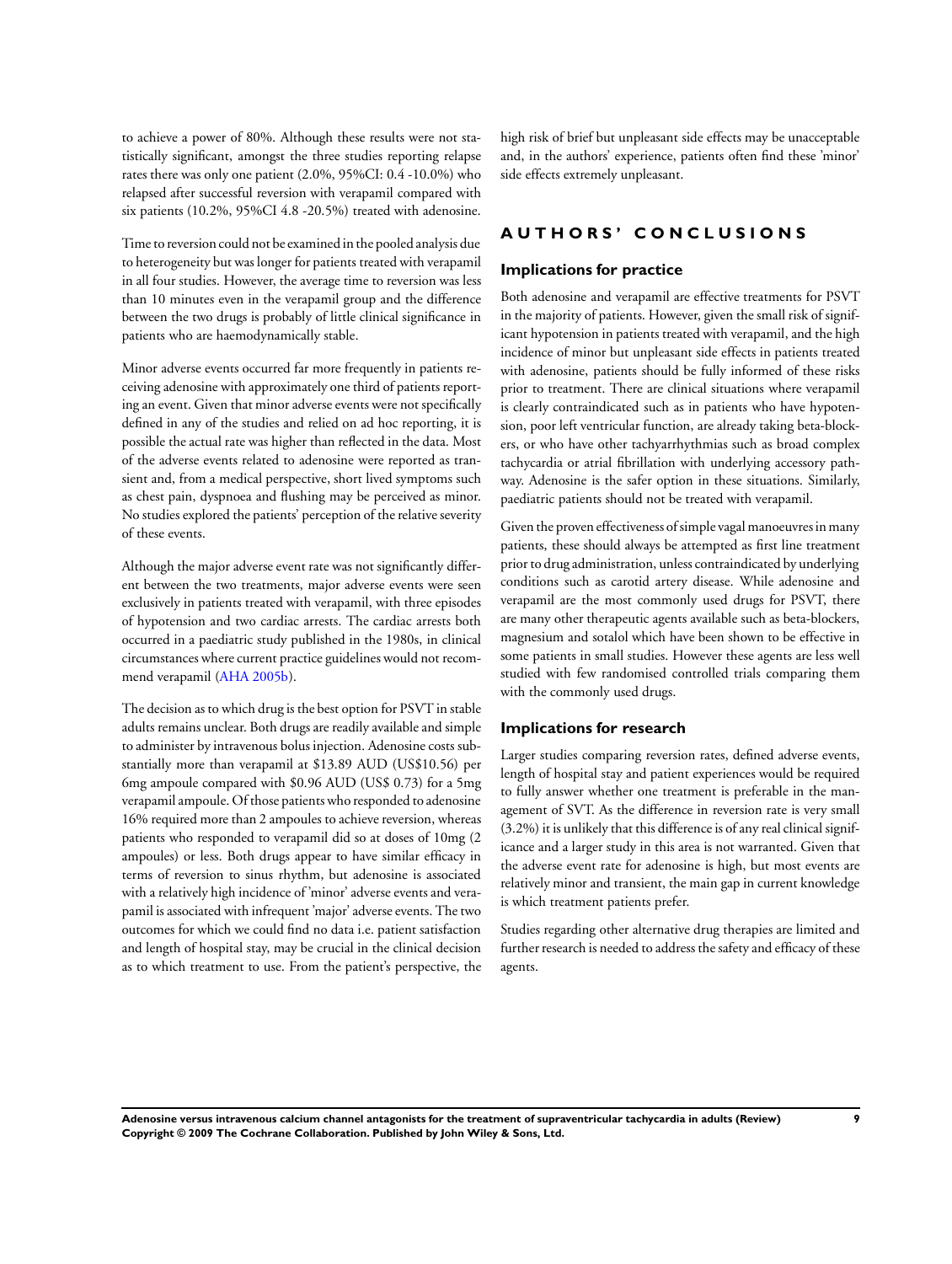to achieve a power of 80%. Although these results were not statistically significant, amongst the three studies reporting relapse rates there was only one patient (2.0%, 95%CI: 0.4 -10.0%) who relapsed after successful reversion with verapamil compared with six patients (10.2%, 95%CI 4.8 -20.5%) treated with adenosine.

Time to reversion could not be examined in the pooled analysis due to heterogeneity but was longer for patients treated with verapamil in all four studies. However, the average time to reversion was less than 10 minutes even in the verapamil group and the difference between the two drugs is probably of little clinical significance in patients who are haemodynamically stable.

Minor adverse events occurred far more frequently in patients receiving adenosine with approximately one third of patients reporting an event. Given that minor adverse events were not specifically defined in any of the studies and relied on ad hoc reporting, it is possible the actual rate was higher than reflected in the data. Most of the adverse events related to adenosine were reported as transient and, from a medical perspective, short lived symptoms such as chest pain, dyspnoea and flushing may be perceived as minor. No studies explored the patients' perception of the relative severity of these events.

Although the major adverse event rate was not significantly different between the two treatments, major adverse events were seen exclusively in patients treated with verapamil, with three episodes of hypotension and two cardiac arrests. The cardiac arrests both occurred in a paediatric study published in the 1980s, in clinical circumstances where current practice guidelines would not recommend verapamil [\(AHA 2005b\)](#page-11-0).

The decision as to which drug is the best option for PSVT in stable adults remains unclear. Both drugs are readily available and simple to administer by intravenous bolus injection. Adenosine costs substantially more than verapamil at \$13.89 AUD (US\$10.56) per 6mg ampoule compared with \$0.96 AUD (US\$ 0.73) for a 5mg verapamil ampoule. Of those patients who responded to adenosine 16% required more than 2 ampoules to achieve reversion, whereas patients who responded to verapamil did so at doses of 10mg (2 ampoules) or less. Both drugs appear to have similar efficacy in terms of reversion to sinus rhythm, but adenosine is associated with a relatively high incidence of 'minor' adverse events and verapamil is associated with infrequent 'major' adverse events. The two outcomes for which we could find no data i.e. patient satisfaction and length of hospital stay, may be crucial in the clinical decision as to which treatment to use. From the patient's perspective, the high risk of brief but unpleasant side effects may be unacceptable and, in the authors' experience, patients often find these 'minor' side effects extremely unpleasant.

## **A U T H O R S ' C O N C L U S I O N S**

## **Implications for practice**

Both adenosine and verapamil are effective treatments for PSVT in the majority of patients. However, given the small risk of significant hypotension in patients treated with verapamil, and the high incidence of minor but unpleasant side effects in patients treated with adenosine, patients should be fully informed of these risks prior to treatment. There are clinical situations where verapamil is clearly contraindicated such as in patients who have hypotension, poor left ventricular function, are already taking beta-blockers, or who have other tachyarrhythmias such as broad complex tachycardia or atrial fibrillation with underlying accessory pathway. Adenosine is the safer option in these situations. Similarly, paediatric patients should not be treated with verapamil.

Given the proven effectiveness of simple vagal manoeuvres in many patients, these should always be attempted as first line treatment prior to drug administration, unless contraindicated by underlying conditions such as carotid artery disease. While adenosine and verapamil are the most commonly used drugs for PSVT, there are many other therapeutic agents available such as beta-blockers, magnesium and sotalol which have been shown to be effective in some patients in small studies. However these agents are less well studied with few randomised controlled trials comparing them with the commonly used drugs.

### **Implications for research**

Larger studies comparing reversion rates, defined adverse events, length of hospital stay and patient experiences would be required to fully answer whether one treatment is preferable in the management of SVT. As the difference in reversion rate is very small (3.2%) it is unlikely that this difference is of any real clinical significance and a larger study in this area is not warranted. Given that the adverse event rate for adenosine is high, but most events are relatively minor and transient, the main gap in current knowledge is which treatment patients prefer.

Studies regarding other alternative drug therapies are limited and further research is needed to address the safety and efficacy of these agents.

**Adenosine versus intravenous calcium channel antagonists for the treatment of supraventricular tachycardia in adults (Review) 9 Copyright © 2009 The Cochrane Collaboration. Published by John Wiley & Sons, Ltd.**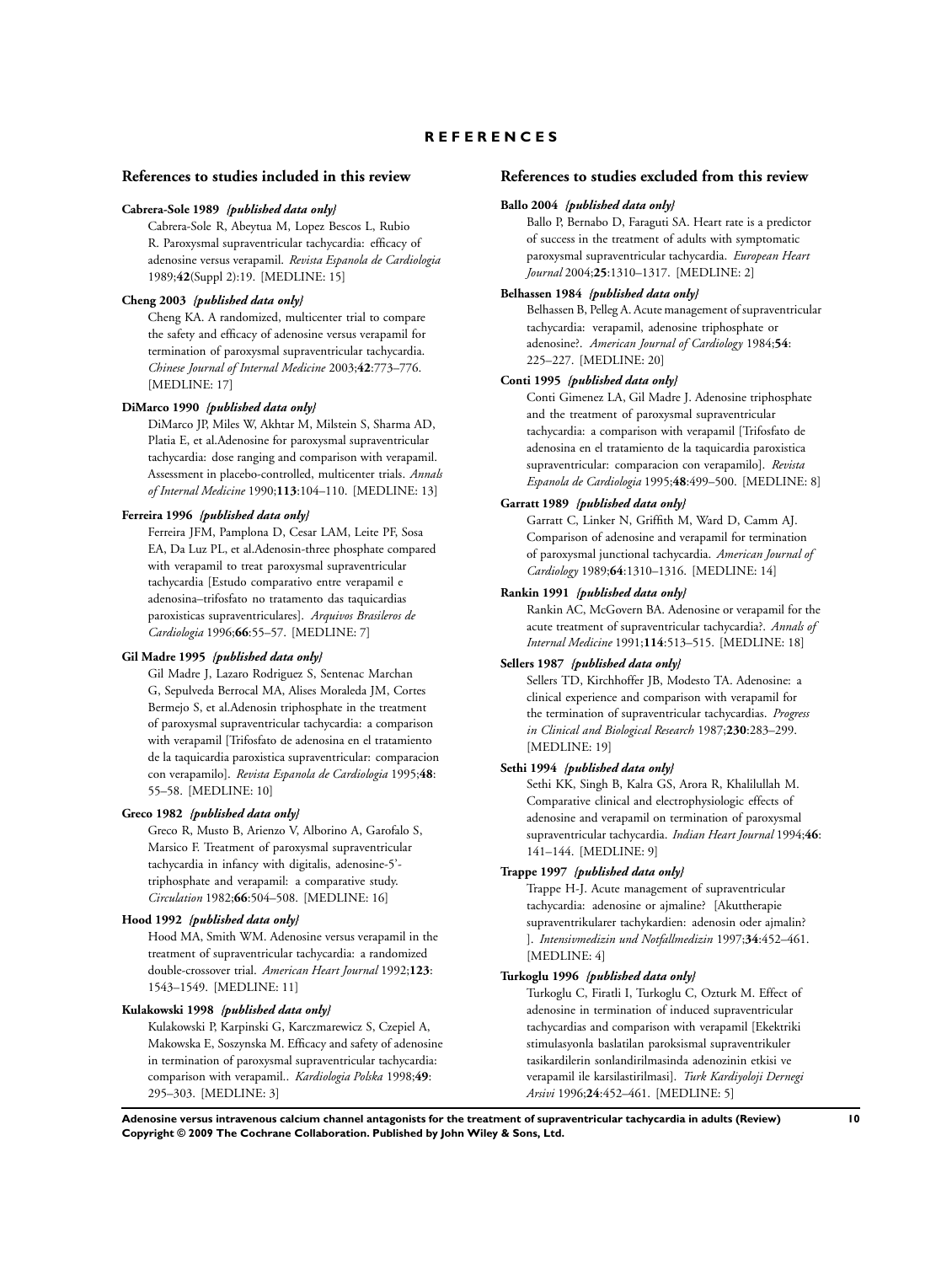## **R E F E R E N C E S**

## <span id="page-11-0"></span>**References to studies included in this review**

#### **Cabrera-Sole 1989** *{published data only}*

Cabrera-Sole R, Abeytua M, Lopez Bescos L, Rubio R. Paroxysmal supraventricular tachycardia: efficacy of adenosine versus verapamil. *Revista Espanola de Cardiologia* 1989;**42**(Suppl 2):19. [MEDLINE: 15]

#### **Cheng 2003** *{published data only}*

Cheng KA. A randomized, multicenter trial to compare the safety and efficacy of adenosine versus verapamil for termination of paroxysmal supraventricular tachycardia. *Chinese Journal of Internal Medicine* 2003;**42**:773–776. [MEDLINE: 17]

#### **DiMarco 1990** *{published data only}*

DiMarco JP, Miles W, Akhtar M, Milstein S, Sharma AD, Platia E, et al.Adenosine for paroxysmal supraventricular tachycardia: dose ranging and comparison with verapamil. Assessment in placebo-controlled, multicenter trials. *Annals of Internal Medicine* 1990;**113**:104–110. [MEDLINE: 13]

#### **Ferreira 1996** *{published data only}*

Ferreira JFM, Pamplona D, Cesar LAM, Leite PF, Sosa EA, Da Luz PL, et al.Adenosin-three phosphate compared with verapamil to treat paroxysmal supraventricular tachycardia [Estudo comparativo entre verapamil e adenosina–trifosfato no tratamento das taquicardias paroxisticas supraventriculares]. *Arquivos Brasileros de Cardiologia* 1996;**66**:55–57. [MEDLINE: 7]

### **Gil Madre 1995** *{published data only}*

Gil Madre J, Lazaro Rodriguez S, Sentenac Marchan G, Sepulveda Berrocal MA, Alises Moraleda JM, Cortes Bermejo S, et al.Adenosin triphosphate in the treatment of paroxysmal supraventricular tachycardia: a comparison with verapamil [Trifosfato de adenosina en el tratamiento de la taquicardia paroxistica supraventricular: comparacion con verapamilo]. *Revista Espanola de Cardiologia* 1995;**48**: 55–58. [MEDLINE: 10]

#### **Greco 1982** *{published data only}*

Greco R, Musto B, Arienzo V, Alborino A, Garofalo S, Marsico F. Treatment of paroxysmal supraventricular tachycardia in infancy with digitalis, adenosine-5' triphosphate and verapamil: a comparative study. *Circulation* 1982;**66**:504–508. [MEDLINE: 16]

## **Hood 1992** *{published data only}*

Hood MA, Smith WM. Adenosine versus verapamil in the treatment of supraventricular tachycardia: a randomized double-crossover trial. *American Heart Journal* 1992;**123**: 1543–1549. [MEDLINE: 11]

#### **Kulakowski 1998** *{published data only}*

Kulakowski P, Karpinski G, Karczmarewicz S, Czepiel A, Makowska E, Soszynska M. Efficacy and safety of adenosine in termination of paroxysmal supraventricular tachycardia: comparison with verapamil.. *Kardiologia Polska* 1998;**49**: 295–303. [MEDLINE: 3]

#### **References to studies excluded from this review**

#### **Ballo 2004** *{published data only}*

Ballo P, Bernabo D, Faraguti SA. Heart rate is a predictor of success in the treatment of adults with symptomatic paroxysmal supraventricular tachycardia. *European Heart Journal* 2004;**25**:1310–1317. [MEDLINE: 2]

## **Belhassen 1984** *{published data only}*

Belhassen B, Pelleg A. Acute management of supraventricular tachycardia: verapamil, adenosine triphosphate or adenosine?. *American Journal of Cardiology* 1984;**54**: 225–227. [MEDLINE: 20]

## **Conti 1995** *{published data only}*

Conti Gimenez LA, Gil Madre J. Adenosine triphosphate and the treatment of paroxysmal supraventricular tachycardia: a comparison with verapamil [Trifosfato de adenosina en el tratamiento de la taquicardia paroxistica supraventricular: comparacion con verapamilo]. *Revista Espanola de Cardiologia* 1995;**48**:499–500. [MEDLINE: 8]

#### **Garratt 1989** *{published data only}*

Garratt C, Linker N, Griffith M, Ward D, Camm AJ. Comparison of adenosine and verapamil for termination of paroxysmal junctional tachycardia. *American Journal of Cardiology* 1989;**64**:1310–1316. [MEDLINE: 14]

#### **Rankin 1991** *{published data only}*

Rankin AC, McGovern BA. Adenosine or verapamil for the acute treatment of supraventricular tachycardia?. *Annals of Internal Medicine* 1991;**114**:513–515. [MEDLINE: 18]

#### **Sellers 1987** *{published data only}*

Sellers TD, Kirchhoffer JB, Modesto TA. Adenosine: a clinical experience and comparison with verapamil for the termination of supraventricular tachycardias. *Progress in Clinical and Biological Research* 1987;**230**:283–299. [MEDLINE: 19]

#### **Sethi 1994** *{published data only}*

Sethi KK, Singh B, Kalra GS, Arora R, Khalilullah M. Comparative clinical and electrophysiologic effects of adenosine and verapamil on termination of paroxysmal supraventricular tachycardia. *Indian Heart Journal* 1994;**46**: 141–144. [MEDLINE: 9]

#### **Trappe 1997** *{published data only}*

Trappe H-J. Acute management of supraventricular tachycardia: adenosine or ajmaline? [Akuttherapie supraventrikularer tachykardien: adenosin oder ajmalin? ]. *Intensivmedizin und Notfallmedizin* 1997;**34**:452–461. [MEDLINE: 4]

#### **Turkoglu 1996** *{published data only}*

Turkoglu C, Firatli I, Turkoglu C, Ozturk M. Effect of adenosine in termination of induced supraventricular tachycardias and comparison with verapamil [Ekektriki stimulasyonla baslatilan paroksismal supraventrikuler tasikardilerin sonlandirilmasinda adenozinin etkisi ve verapamil ile karsilastirilmasi]. *Turk Kardiyoloji Dernegi Arsivi* 1996;**24**:452–461. [MEDLINE: 5]

**Adenosine versus intravenous calcium channel antagonists for the treatment of supraventricular tachycardia in adults (Review) 10 Copyright © 2009 The Cochrane Collaboration. Published by John Wiley & Sons, Ltd.**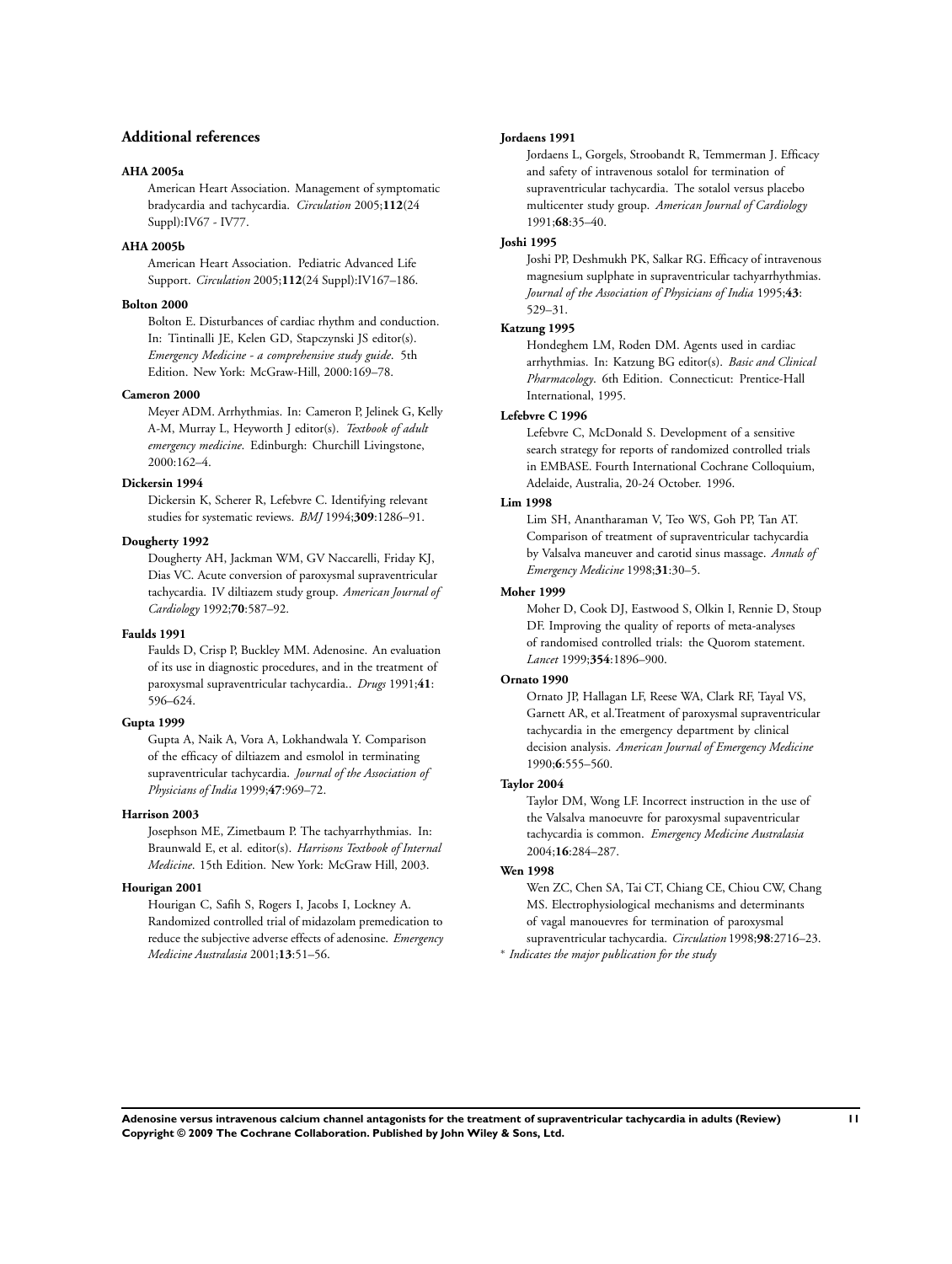## **Additional references**

#### **AHA 2005a**

American Heart Association. Management of symptomatic bradycardia and tachycardia. *Circulation* 2005;**112**(24 Suppl):IV67 - IV77.

## **AHA 2005b**

American Heart Association. Pediatric Advanced Life Support. *Circulation* 2005;**112**(24 Suppl):IV167–186.

## **Bolton 2000**

Bolton E. Disturbances of cardiac rhythm and conduction. In: Tintinalli JE, Kelen GD, Stapczynski JS editor(s). *Emergency Medicine - a comprehensive study guide*. 5th Edition. New York: McGraw-Hill, 2000:169–78.

#### **Cameron 2000**

Meyer ADM. Arrhythmias. In: Cameron P, Jelinek G, Kelly A-M, Murray L, Heyworth J editor(s). *Textbook of adult emergency medicine*. Edinburgh: Churchill Livingstone, 2000:162–4.

#### **Dickersin 1994**

Dickersin K, Scherer R, Lefebvre C. Identifying relevant studies for systematic reviews. *BMJ* 1994;**309**:1286–91.

#### **Dougherty 1992**

Dougherty AH, Jackman WM, GV Naccarelli, Friday KJ, Dias VC. Acute conversion of paroxysmal supraventricular tachycardia. IV diltiazem study group. *American Journal of Cardiology* 1992;**70**:587–92.

#### **Faulds 1991**

Faulds D, Crisp P, Buckley MM. Adenosine. An evaluation of its use in diagnostic procedures, and in the treatment of paroxysmal supraventricular tachycardia.. *Drugs* 1991;**41**: 596–624.

#### **Gupta 1999**

Gupta A, Naik A, Vora A, Lokhandwala Y. Comparison of the efficacy of diltiazem and esmolol in terminating supraventricular tachycardia. *Journal of the Association of Physicians of India* 1999;**47**:969–72.

#### **Harrison 2003**

Josephson ME, Zimetbaum P. The tachyarrhythmias. In: Braunwald E, et al. editor(s). *Harrisons Textbook of Internal Medicine*. 15th Edition. New York: McGraw Hill, 2003.

## **Hourigan 2001**

Hourigan C, Safih S, Rogers I, Jacobs I, Lockney A. Randomized controlled trial of midazolam premedication to reduce the subjective adverse effects of adenosine. *Emergency Medicine Australasia* 2001;**13**:51–56.

#### **Jordaens 1991**

Jordaens L, Gorgels, Stroobandt R, Temmerman J. Efficacy and safety of intravenous sotalol for termination of supraventricular tachycardia. The sotalol versus placebo multicenter study group. *American Journal of Cardiology* 1991;**68**:35–40.

### **Joshi 1995**

Joshi PP, Deshmukh PK, Salkar RG. Efficacy of intravenous magnesium suplphate in supraventricular tachyarrhythmias. *Journal of the Association of Physicians of India* 1995;**43**: 529–31.

#### **Katzung 1995**

Hondeghem LM, Roden DM. Agents used in cardiac arrhythmias. In: Katzung BG editor(s). *Basic and Clinical Pharmacology*. 6th Edition. Connecticut: Prentice-Hall International, 1995.

#### **Lefebvre C 1996**

Lefebvre C, McDonald S. Development of a sensitive search strategy for reports of randomized controlled trials in EMBASE. Fourth International Cochrane Colloquium, Adelaide, Australia, 20-24 October. 1996.

## **Lim 1998**

Lim SH, Anantharaman V, Teo WS, Goh PP, Tan AT. Comparison of treatment of supraventricular tachycardia by Valsalva maneuver and carotid sinus massage. *Annals of Emergency Medicine* 1998;**31**:30–5.

#### **Moher 1999**

Moher D, Cook DJ, Eastwood S, Olkin I, Rennie D, Stoup DF. Improving the quality of reports of meta-analyses of randomised controlled trials: the Quorom statement. *Lancet* 1999;**354**:1896–900.

## **Ornato 1990**

Ornato JP, Hallagan LF, Reese WA, Clark RF, Tayal VS, Garnett AR, et al.Treatment of paroxysmal supraventricular tachycardia in the emergency department by clinical decision analysis. *American Journal of Emergency Medicine* 1990;**6**:555–560.

#### **Taylor 2004**

Taylor DM, Wong LF. Incorrect instruction in the use of the Valsalva manoeuvre for paroxysmal supaventricular tachycardia is common. *Emergency Medicine Australasia* 2004;**16**:284–287.

#### **Wen 1998**

Wen ZC, Chen SA, Tai CT, Chiang CE, Chiou CW, Chang MS. Electrophysiological mechanisms and determinants of vagal manouevres for termination of paroxysmal supraventricular tachycardia. *Circulation* 1998;**98**:2716–23.

∗ *Indicates the major publication for the study*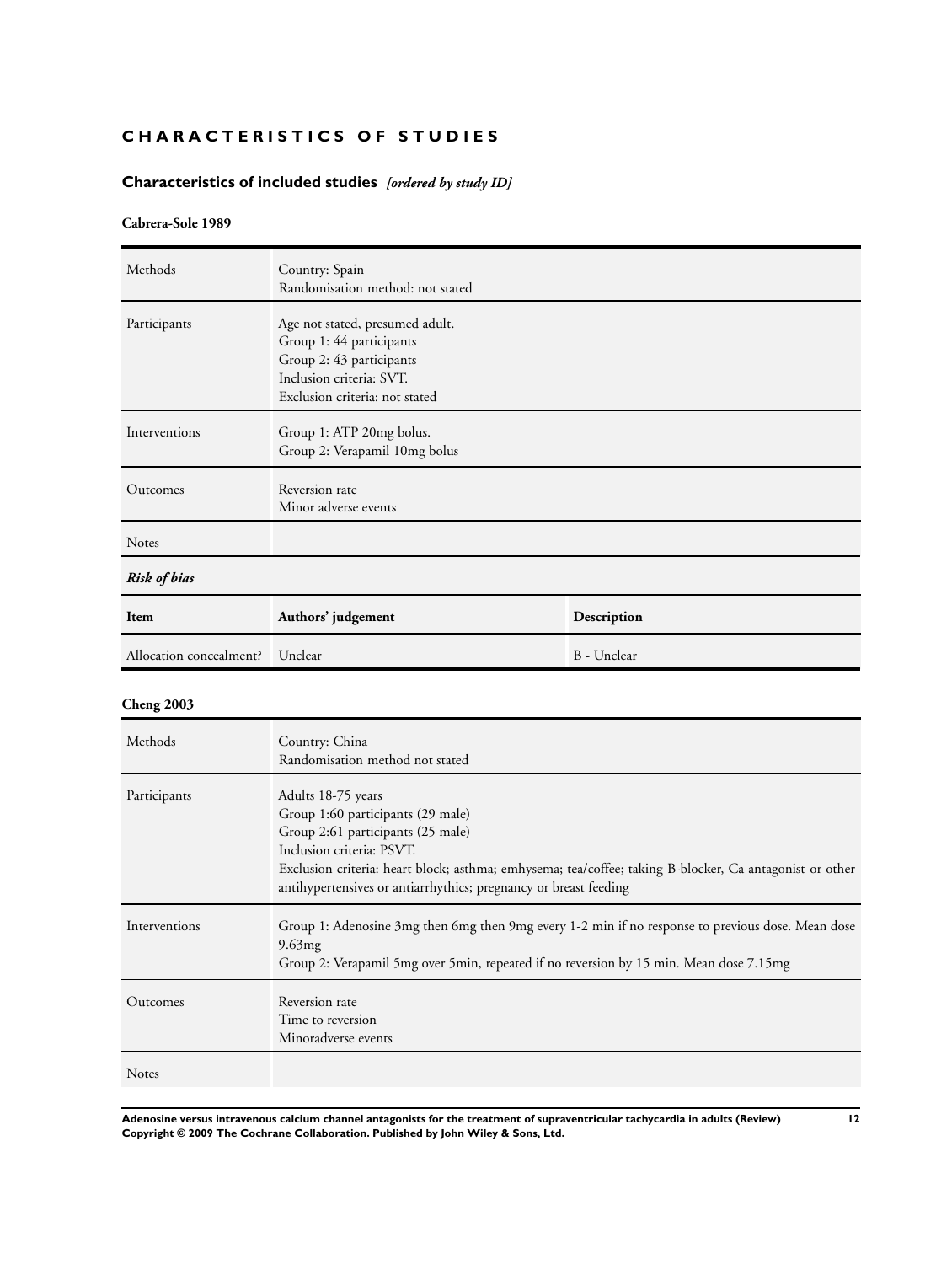## <span id="page-13-0"></span>**CHARACTERISTICS OF STUDIES**

## **Characteristics of included studies** *[ordered by study ID]*

## **Cabrera-Sole 1989**

| Methods                         | Country: Spain<br>Randomisation method: not stated                                                                                                    |             |
|---------------------------------|-------------------------------------------------------------------------------------------------------------------------------------------------------|-------------|
| Participants                    | Age not stated, presumed adult.<br>Group 1: 44 participants<br>Group 2: 43 participants<br>Inclusion criteria: SVT.<br>Exclusion criteria: not stated |             |
| Interventions                   | Group 1: ATP 20mg bolus.<br>Group 2: Verapamil 10mg bolus                                                                                             |             |
| Outcomes                        | Reversion rate<br>Minor adverse events                                                                                                                |             |
| <b>Notes</b>                    |                                                                                                                                                       |             |
| <b>Risk of bias</b>             |                                                                                                                                                       |             |
| Item                            | Authors' judgement                                                                                                                                    | Description |
| Allocation concealment? Unclear |                                                                                                                                                       | B - Unclear |

## **Cheng 2003**

| Methods       | Country: China<br>Randomisation method not stated                                                                                                                                                                                                                                                        |
|---------------|----------------------------------------------------------------------------------------------------------------------------------------------------------------------------------------------------------------------------------------------------------------------------------------------------------|
| Participants  | Adults 18-75 years<br>Group 1:60 participants (29 male)<br>Group 2:61 participants (25 male)<br>Inclusion criteria: PSVT.<br>Exclusion criteria: heart block; asthma; emhysema; tea/coffee; taking B-blocker, Ca antagonist or other<br>antihypertensives or antiarrhythics; pregnancy or breast feeding |
| Interventions | Group 1: Adenosine 3mg then 6mg then 9mg every 1-2 min if no response to previous dose. Mean dose<br>9.63mg<br>Group 2: Verapamil 5mg over 5min, repeated if no reversion by 15 min. Mean dose 7.15mg                                                                                                    |
| Outcomes      | Reversion rate<br>Time to reversion<br>Minoradverse events                                                                                                                                                                                                                                               |
| <b>Notes</b>  |                                                                                                                                                                                                                                                                                                          |

**Adenosine versus intravenous calcium channel antagonists for the treatment of supraventricular tachycardia in adults (Review) 12 Copyright © 2009 The Cochrane Collaboration. Published by John Wiley & Sons, Ltd.**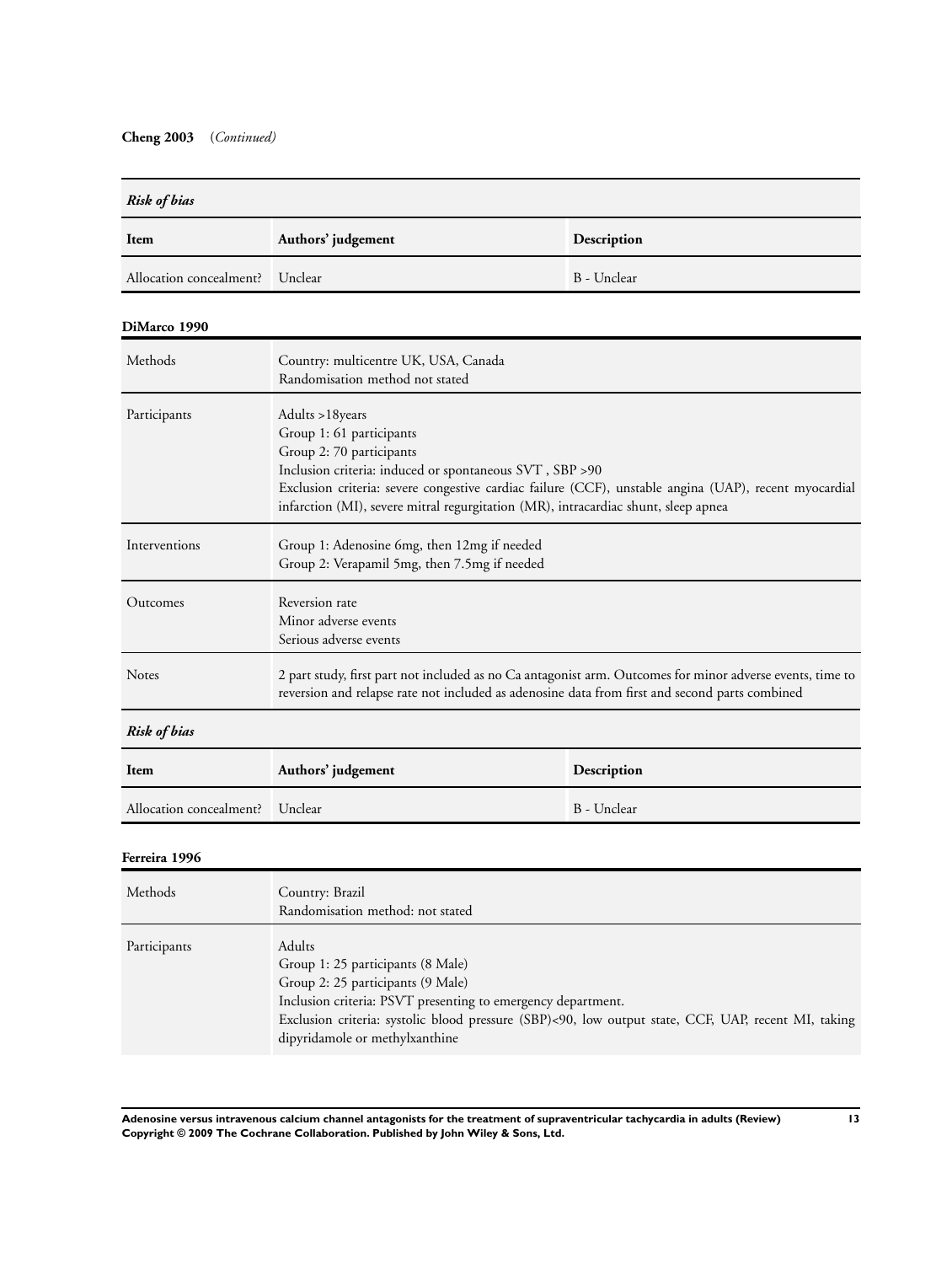## **Cheng 2003** (*Continued)*

| <b>Risk of bias</b>     |                                                                                                                                                                                                                                                                                                                                   |             |
|-------------------------|-----------------------------------------------------------------------------------------------------------------------------------------------------------------------------------------------------------------------------------------------------------------------------------------------------------------------------------|-------------|
| Item                    | Authors' judgement                                                                                                                                                                                                                                                                                                                | Description |
| Allocation concealment? | Unclear                                                                                                                                                                                                                                                                                                                           | B - Unclear |
| DiMarco 1990            |                                                                                                                                                                                                                                                                                                                                   |             |
| Methods                 | Country: multicentre UK, USA, Canada<br>Randomisation method not stated                                                                                                                                                                                                                                                           |             |
| Participants            | Adults >18years<br>Group 1: 61 participants<br>Group 2: 70 participants<br>Inclusion criteria: induced or spontaneous SVT, SBP >90<br>Exclusion criteria: severe congestive cardiac failure (CCF), unstable angina (UAP), recent myocardial<br>infarction (MI), severe mitral regurgitation (MR), intracardiac shunt, sleep apnea |             |
| Interventions           | Group 1: Adenosine 6mg, then 12mg if needed<br>Group 2: Verapamil 5mg, then 7.5mg if needed                                                                                                                                                                                                                                       |             |
| Outcomes                | Reversion rate<br>Minor adverse events<br>Serious adverse events                                                                                                                                                                                                                                                                  |             |
| <b>Notes</b>            | 2 part study, first part not included as no Ca antagonist arm. Outcomes for minor adverse events, time to<br>reversion and relapse rate not included as adenosine data from first and second parts combined                                                                                                                       |             |
| <b>Risk of bias</b>     |                                                                                                                                                                                                                                                                                                                                   |             |
| Item                    | Authors' judgement                                                                                                                                                                                                                                                                                                                | Description |
| Allocation concealment? | Unclear                                                                                                                                                                                                                                                                                                                           | B - Unclear |
|                         |                                                                                                                                                                                                                                                                                                                                   |             |

## **Ferreira 1996**

| Methods      | Country: Brazil<br>Randomisation method: not stated                                                                                                                                                                                                                                              |
|--------------|--------------------------------------------------------------------------------------------------------------------------------------------------------------------------------------------------------------------------------------------------------------------------------------------------|
| Participants | <b>Adults</b><br>Group 1: 25 participants (8 Male)<br>Group 2: 25 participants (9 Male)<br>Inclusion criteria: PSVT presenting to emergency department.<br>Exclusion criteria: systolic blood pressure (SBP)<90, low output state, CCF, UAP, recent MI, taking<br>dipyridamole or methylxanthine |

**Adenosine versus intravenous calcium channel antagonists for the treatment of supraventricular tachycardia in adults (Review) 13 Copyright © 2009 The Cochrane Collaboration. Published by John Wiley & Sons, Ltd.**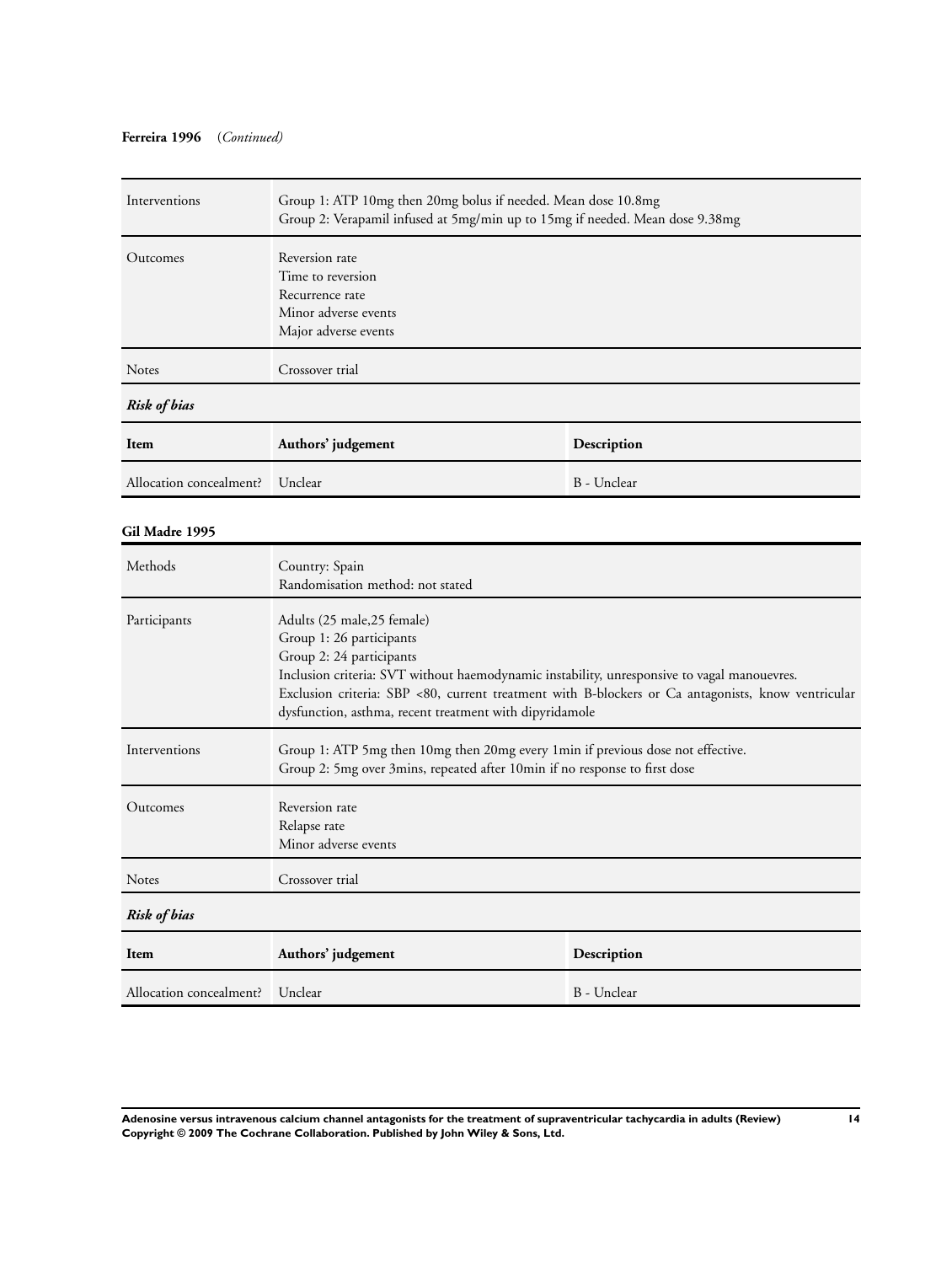## **Ferreira 1996** (*Continued)*

| Interventions           | Group 1: ATP 10mg then 20mg bolus if needed. Mean dose 10.8mg<br>Group 2: Verapamil infused at 5mg/min up to 15mg if needed. Mean dose 9.38mg                                                                                                                                                                                                       |             |
|-------------------------|-----------------------------------------------------------------------------------------------------------------------------------------------------------------------------------------------------------------------------------------------------------------------------------------------------------------------------------------------------|-------------|
| Outcomes                | Reversion rate<br>Time to reversion<br>Recurrence rate<br>Minor adverse events<br>Major adverse events                                                                                                                                                                                                                                              |             |
| Notes                   | Crossover trial                                                                                                                                                                                                                                                                                                                                     |             |
| <b>Risk of bias</b>     |                                                                                                                                                                                                                                                                                                                                                     |             |
| Item                    | Authors' judgement                                                                                                                                                                                                                                                                                                                                  | Description |
| Allocation concealment? | Unclear                                                                                                                                                                                                                                                                                                                                             | B - Unclear |
| Gil Madre 1995          |                                                                                                                                                                                                                                                                                                                                                     |             |
| Methods                 | Country: Spain<br>Randomisation method: not stated                                                                                                                                                                                                                                                                                                  |             |
| Participants            | Adults (25 male, 25 female)<br>Group 1: 26 participants<br>Group 2: 24 participants<br>Inclusion criteria: SVT without haemodynamic instability, unresponsive to vagal manouevres.<br>Exclusion criteria: SBP <80, current treatment with B-blockers or Ca antagonists, know ventricular<br>dysfunction, asthma, recent treatment with dipyridamole |             |
| Interventions           | Group 1: ATP 5mg then 10mg then 20mg every 1min if previous dose not effective.<br>Group 2: 5mg over 3mins, repeated after 10min if no response to first dose                                                                                                                                                                                       |             |
| Outcomes                | Reversion rate<br>Relapse rate<br>Minor adverse events                                                                                                                                                                                                                                                                                              |             |
| Notes                   | Crossover trial                                                                                                                                                                                                                                                                                                                                     |             |
| <b>Risk of bias</b>     |                                                                                                                                                                                                                                                                                                                                                     |             |
| Item                    | Authors' judgement                                                                                                                                                                                                                                                                                                                                  | Description |
| Allocation concealment? | Unclear                                                                                                                                                                                                                                                                                                                                             | B - Unclear |

**Adenosine versus intravenous calcium channel antagonists for the treatment of supraventricular tachycardia in adults (Review) 14 Copyright © 2009 The Cochrane Collaboration. Published by John Wiley & Sons, Ltd.**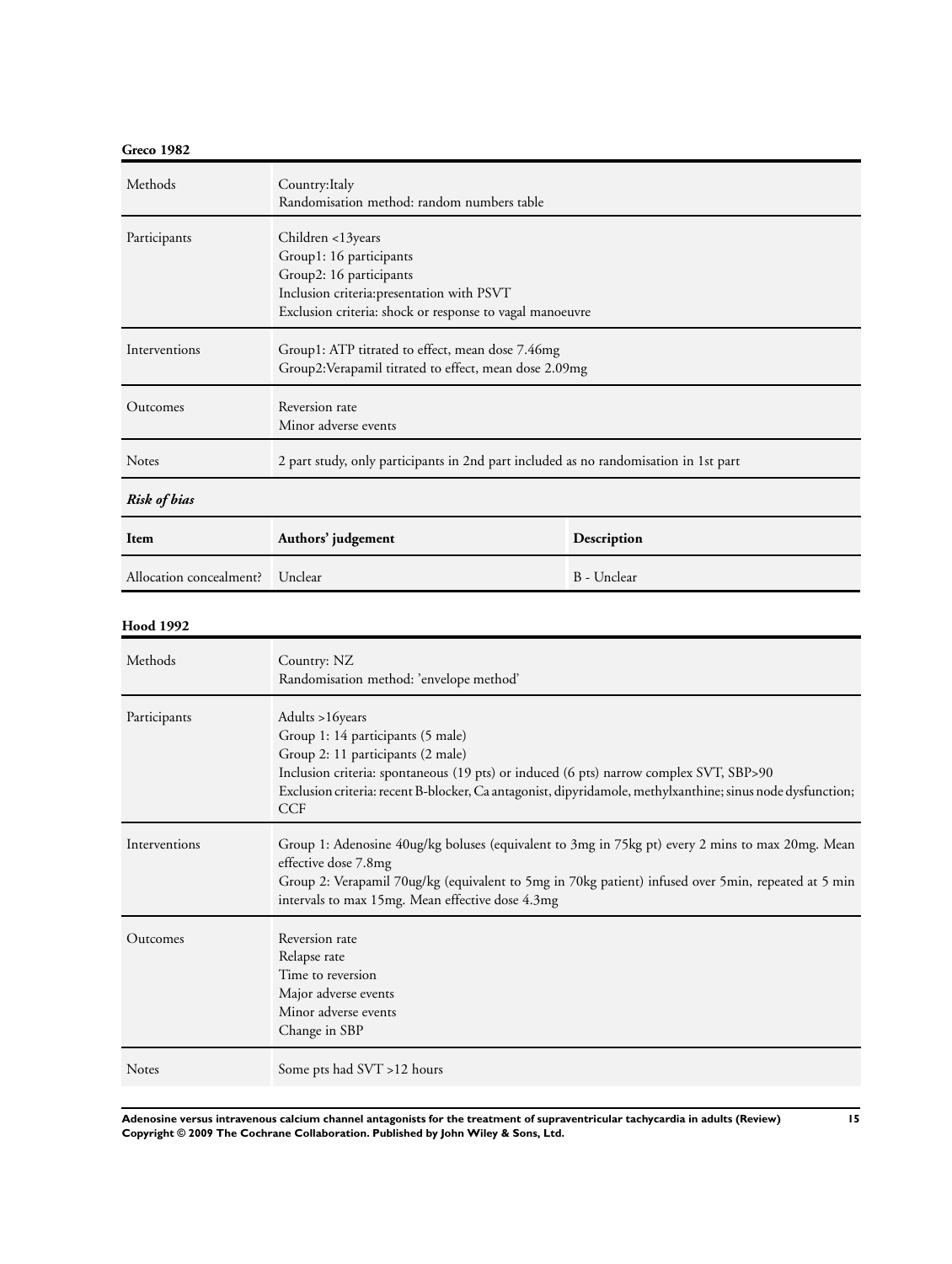## **Greco 1982**

| Methods                 | Country: Italy<br>Randomisation method: random numbers table                                                                                                                      |             |
|-------------------------|-----------------------------------------------------------------------------------------------------------------------------------------------------------------------------------|-------------|
| Participants            | Children <13years<br>Group1: 16 participants<br>Group2: 16 participants<br>Inclusion criteria: presentation with PSVT<br>Exclusion criteria: shock or response to vagal manoeuvre |             |
| Interventions           | Group1: ATP titrated to effect, mean dose 7.46mg<br>Group2: Verapamil titrated to effect, mean dose 2.09mg                                                                        |             |
| Outcomes                | Reversion rate<br>Minor adverse events                                                                                                                                            |             |
| <b>Notes</b>            | 2 part study, only participants in 2nd part included as no randomisation in 1st part                                                                                              |             |
| <b>Risk of bias</b>     |                                                                                                                                                                                   |             |
| Item                    | Authors' judgement                                                                                                                                                                | Description |
| Allocation concealment? | Unclear                                                                                                                                                                           | B - Unclear |

## **Hood 1992**

| Methods       | Country: NZ<br>Randomisation method: 'envelope method'                                                                                                                                                                                                                                                          |
|---------------|-----------------------------------------------------------------------------------------------------------------------------------------------------------------------------------------------------------------------------------------------------------------------------------------------------------------|
| Participants  | Adults >16years<br>Group 1: 14 participants (5 male)<br>Group 2: 11 participants (2 male)<br>Inclusion criteria: spontaneous (19 pts) or induced (6 pts) narrow complex SVT, SBP>90<br>Exclusion criteria: recent B-blocker, Ca antagonist, dipyridamole, methylxanthine; sinus node dysfunction;<br><b>CCF</b> |
| Interventions | Group 1: Adenosine 40ug/kg boluses (equivalent to 3mg in 75kg pt) every 2 mins to max 20mg. Mean<br>effective dose 7.8mg<br>Group 2: Verapamil 70ug/kg (equivalent to 5mg in 70kg patient) infused over 5min, repeated at 5 min<br>intervals to max 15mg. Mean effective dose 4.3mg                             |
| Outcomes      | Reversion rate<br>Relapse rate<br>Time to reversion<br>Major adverse events<br>Minor adverse events<br>Change in SBP                                                                                                                                                                                            |
| <b>Notes</b>  | Some pts had SVT >12 hours                                                                                                                                                                                                                                                                                      |

**Adenosine versus intravenous calcium channel antagonists for the treatment of supraventricular tachycardia in adults (Review) 15 Copyright © 2009 The Cochrane Collaboration. Published by John Wiley & Sons, Ltd.**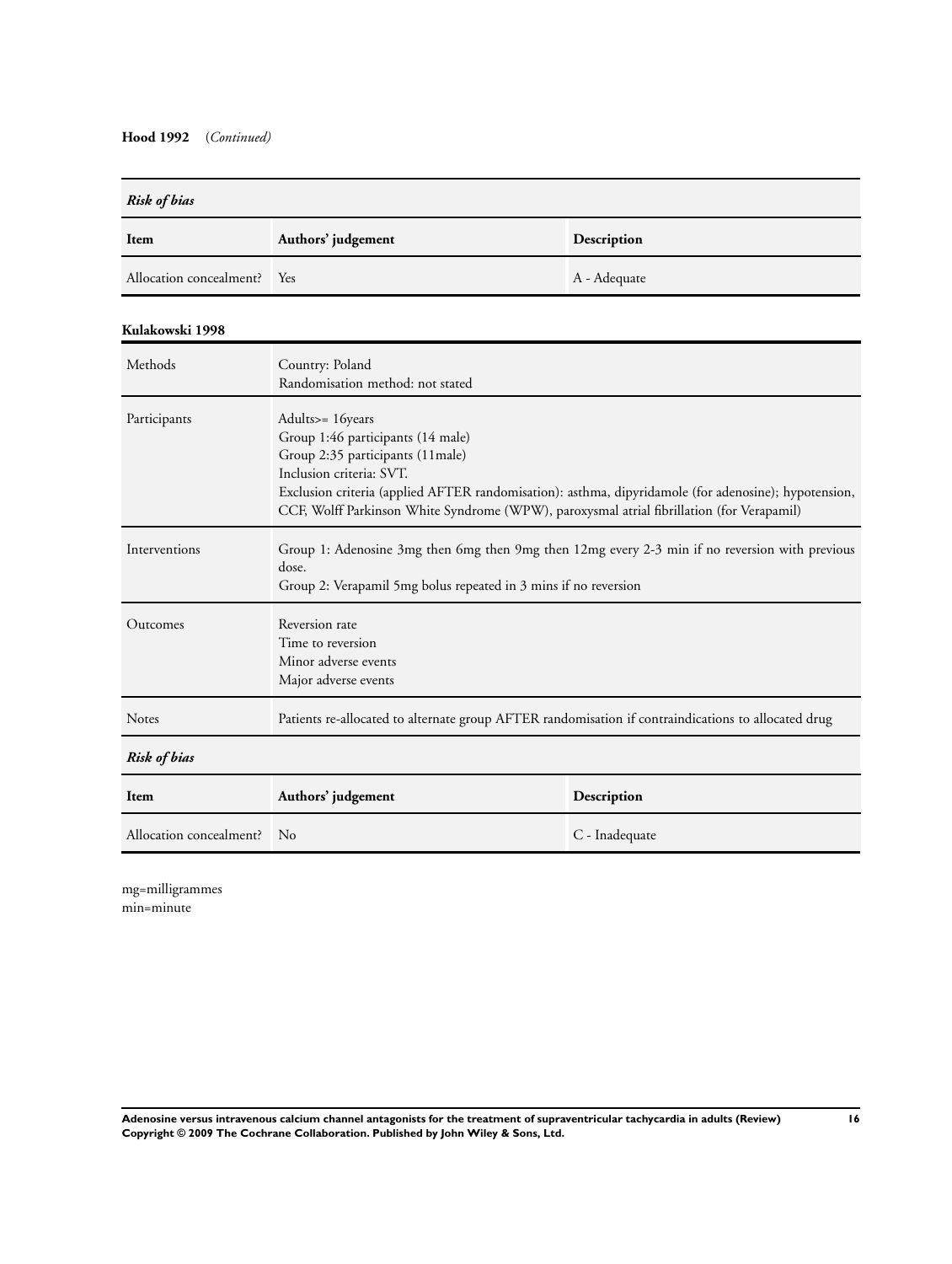## **Hood 1992** (*Continued)*

| <b>Risk of bias</b>         |                                                     |              |
|-----------------------------|-----------------------------------------------------|--------------|
| Item                        | Authors' judgement                                  | Description  |
| Allocation concealment? Yes |                                                     | A - Adequate |
| Kulakowski 1998             |                                                     |              |
| Methods                     | Country: Poland<br>Randomisation method: not stated |              |

|                     | Randomisation method: not stated                                                                                                                                                                                                                                                                                             |
|---------------------|------------------------------------------------------------------------------------------------------------------------------------------------------------------------------------------------------------------------------------------------------------------------------------------------------------------------------|
| Participants        | Adults >= 16 years<br>Group 1:46 participants (14 male)<br>Group 2:35 participants (11male)<br>Inclusion criteria: SVT.<br>Exclusion criteria (applied AFTER randomisation): asthma, dipyridamole (for adenosine); hypotension,<br>CCF, Wolff Parkinson White Syndrome (WPW), paroxysmal atrial fibrillation (for Verapamil) |
| Interventions       | Group 1: Adenosine 3mg then 6mg then 9mg then 12mg every 2-3 min if no reversion with previous<br>dose.<br>Group 2: Verapamil 5mg bolus repeated in 3 mins if no reversion                                                                                                                                                   |
| Outcomes            | Reversion rate<br>Time to reversion<br>Minor adverse events<br>Major adverse events                                                                                                                                                                                                                                          |
| <b>Notes</b>        | Patients re-allocated to alternate group AFTER randomisation if contraindications to allocated drug                                                                                                                                                                                                                          |
| <b>Risk of bias</b> |                                                                                                                                                                                                                                                                                                                              |

| Item                       | Authors' judgement | Description    |
|----------------------------|--------------------|----------------|
| Allocation concealment? No |                    | C - Inadequate |

mg=milligrammes min=minute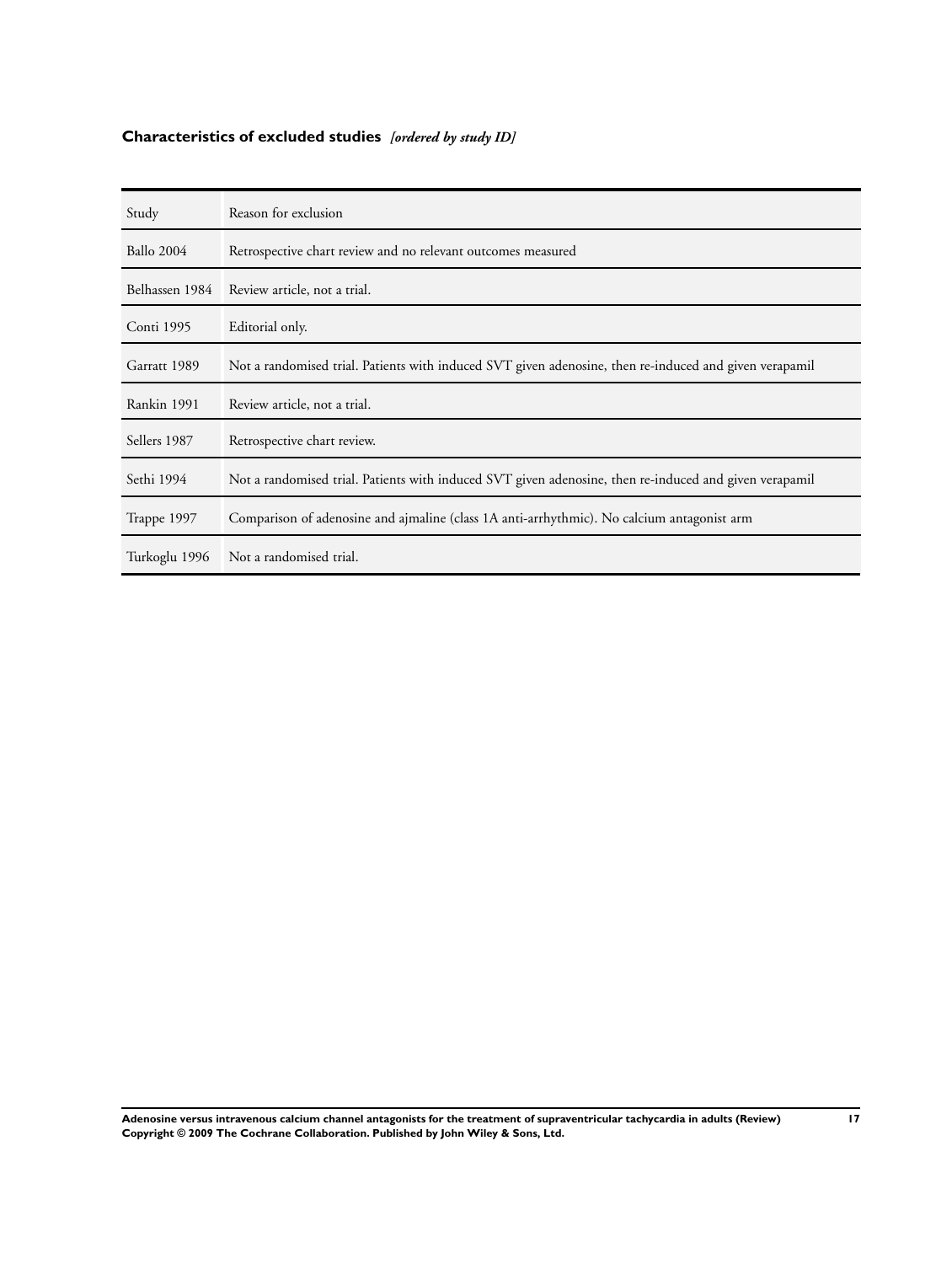## <span id="page-18-0"></span>**Characteristics of excluded studies** *[ordered by study ID]*

| Study             | Reason for exclusion                                                                                   |
|-------------------|--------------------------------------------------------------------------------------------------------|
| <b>Ballo 2004</b> | Retrospective chart review and no relevant outcomes measured                                           |
| Belhassen 1984    | Review article, not a trial.                                                                           |
| Conti 1995        | Editorial only.                                                                                        |
| Garratt 1989      | Not a randomised trial. Patients with induced SVT given adenosine, then re-induced and given verapamil |
| Rankin 1991       | Review article, not a trial.                                                                           |
| Sellers 1987      | Retrospective chart review.                                                                            |
| Sethi 1994        | Not a randomised trial. Patients with induced SVT given adenosine, then re-induced and given verapamil |
| Trappe 1997       | Comparison of adenosine and ajmaline (class 1A anti-arrhythmic). No calcium antagonist arm             |
| Turkoglu 1996     | Not a randomised trial.                                                                                |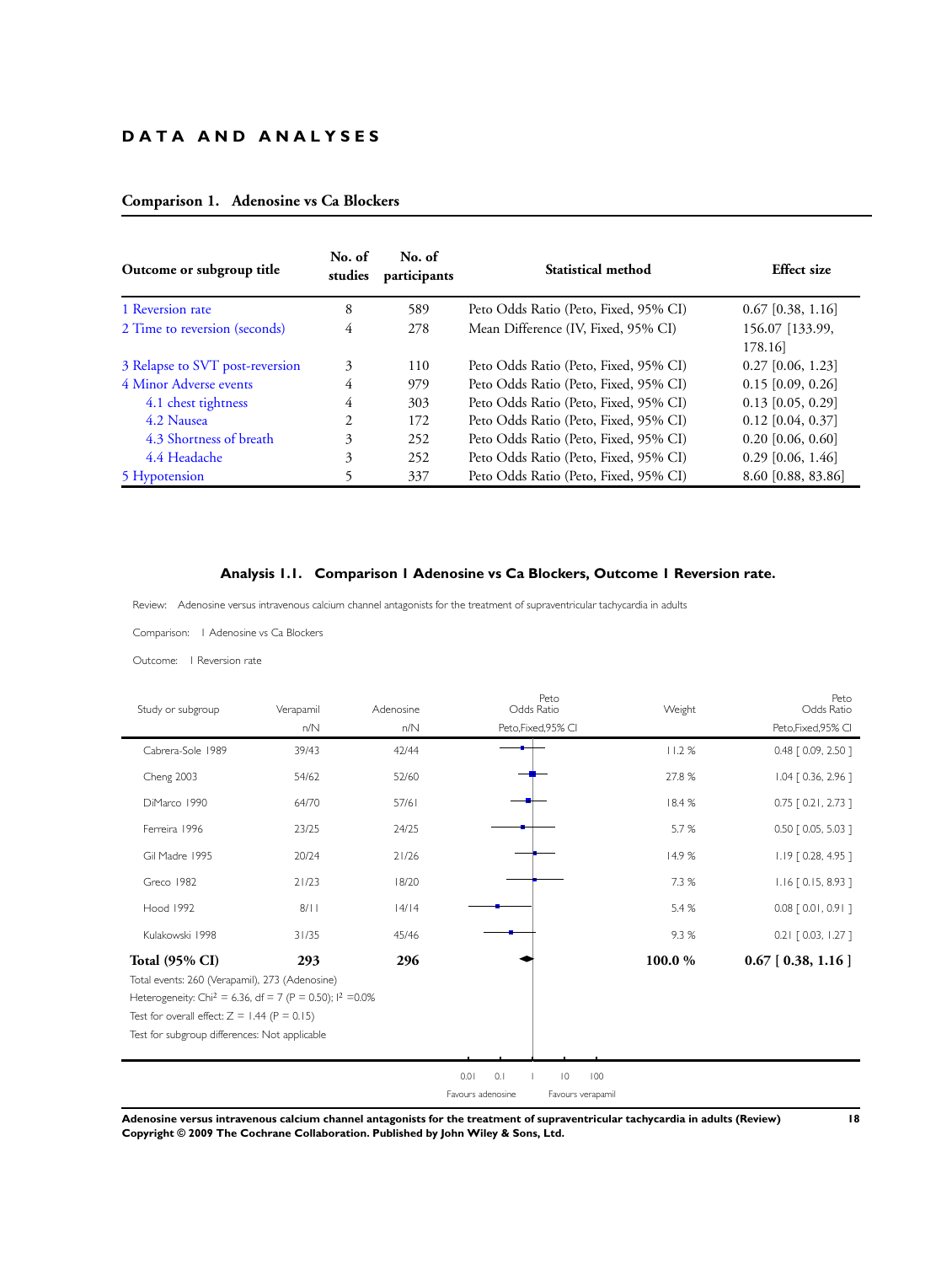## **D A T A A N D A N A L Y S E S**

## **Comparison 1. Adenosine vs Ca Blockers**

| Outcome or subgroup title       | No. of<br>studies | No. of<br>participants | Statistical method                    | <b>Effect size</b>        |
|---------------------------------|-------------------|------------------------|---------------------------------------|---------------------------|
| 1 Reversion rate                | 8                 | 589                    | Peto Odds Ratio (Peto, Fixed, 95% CI) | $0.67$ [0.38, 1.16]       |
| 2 Time to reversion (seconds)   | 4                 | 278                    | Mean Difference (IV, Fixed, 95% CI)   | 156.07 [133.99,<br>178.16 |
| 3 Relapse to SVT post-reversion | 3                 | 110                    | Peto Odds Ratio (Peto, Fixed, 95% CI) | $0.27$ [0.06, 1.23]       |
| 4 Minor Adverse events          | 4                 | 979                    | Peto Odds Ratio (Peto, Fixed, 95% CI) | $0.15$ [0.09, 0.26]       |
| 4.1 chest tightness             | 4                 | 303                    | Peto Odds Ratio (Peto, Fixed, 95% CI) | $0.13$ [0.05, 0.29]       |
| 4.2 Nausea                      | 2                 | 172                    | Peto Odds Ratio (Peto, Fixed, 95% CI) | $0.12$ [0.04, 0.37]       |
| 4.3 Shortness of breath         | 3                 | 252                    | Peto Odds Ratio (Peto, Fixed, 95% CI) | $0.20$ [0.06, 0.60]       |
| 4.4 Headache                    | 3                 | 252                    | Peto Odds Ratio (Peto, Fixed, 95% CI) | $0.29$ [0.06, 1.46]       |
| 5 Hypotension                   |                   | 337                    | Peto Odds Ratio (Peto, Fixed, 95% CI) | 8.60 [0.88, 83.86]        |

## **Analysis 1.1. Comparison 1 Adenosine vs Ca Blockers, Outcome 1 Reversion rate.**

Review: Adenosine versus intravenous calcium channel antagonists for the treatment of supraventricular tachycardia in adults

Comparison: 1 Adenosine vs Ca Blockers

Outcome: 1 Reversion rate

| Study or subgroup                                                       | Verapamil | Adenosine |                   | Peto<br>Odds Ratio  | Weight | Peto<br>Odds Ratio    |
|-------------------------------------------------------------------------|-----------|-----------|-------------------|---------------------|--------|-----------------------|
|                                                                         | n/N       | n/N       |                   | Peto, Fixed, 95% CI |        | Peto, Fixed, 95% CI   |
| Cabrera-Sole 1989                                                       | 39/43     | 42/44     |                   |                     | 11.2%  | $0.48$ $[0.09, 2.50]$ |
| Cheng 2003                                                              | 54/62     | 52/60     |                   |                     | 27.8 % | $1.04$ [ 0.36, 2.96 ] |
| DiMarco 1990                                                            | 64/70     | 57/61     |                   |                     | 18.4%  | $0.75$ $[0.21, 2.73]$ |
| Ferreira 1996                                                           | 23/25     | 24/25     |                   |                     | 5.7%   | $0.50$ $[0.05, 5.03]$ |
| Gil Madre 1995                                                          | 20/24     | 21/26     |                   |                     | 14.9%  | $1.19$ $[0.28, 4.95]$ |
| Greco 1982                                                              | 21/23     | 18/20     |                   |                     | 7.3 %  | $1.16$ $[0.15, 8.93]$ |
| <b>Hood 1992</b>                                                        | 8/11      | 4/ 4      |                   |                     | 5.4 %  | $0.08$ $[0.01, 0.91]$ |
| Kulakowski 1998                                                         | 31/35     | 45/46     |                   |                     | 9.3%   | $0.21$ $[0.03, 1.27]$ |
| <b>Total (95% CI)</b>                                                   | 293       | 296       |                   |                     | 100.0% | $0.67$ [ 0.38, 1.16 ] |
| Total events: 260 (Verapamil), 273 (Adenosine)                          |           |           |                   |                     |        |                       |
| Heterogeneity: Chi <sup>2</sup> = 6.36, df = 7 (P = 0.50); $1^2$ = 0.0% |           |           |                   |                     |        |                       |
| Test for overall effect: $Z = 1.44$ (P = 0.15)                          |           |           |                   |                     |        |                       |
| Test for subgroup differences: Not applicable                           |           |           |                   |                     |        |                       |
|                                                                         |           |           |                   |                     |        |                       |
|                                                                         |           |           | 0.01<br>0.1       | 100<br>$ 0\rangle$  |        |                       |
|                                                                         |           |           | Favours adenosine | Favours verapamil   |        |                       |

**Adenosine versus intravenous calcium channel antagonists for the treatment of supraventricular tachycardia in adults (Review) 18 Copyright © 2009 The Cochrane Collaboration. Published by John Wiley & Sons, Ltd.**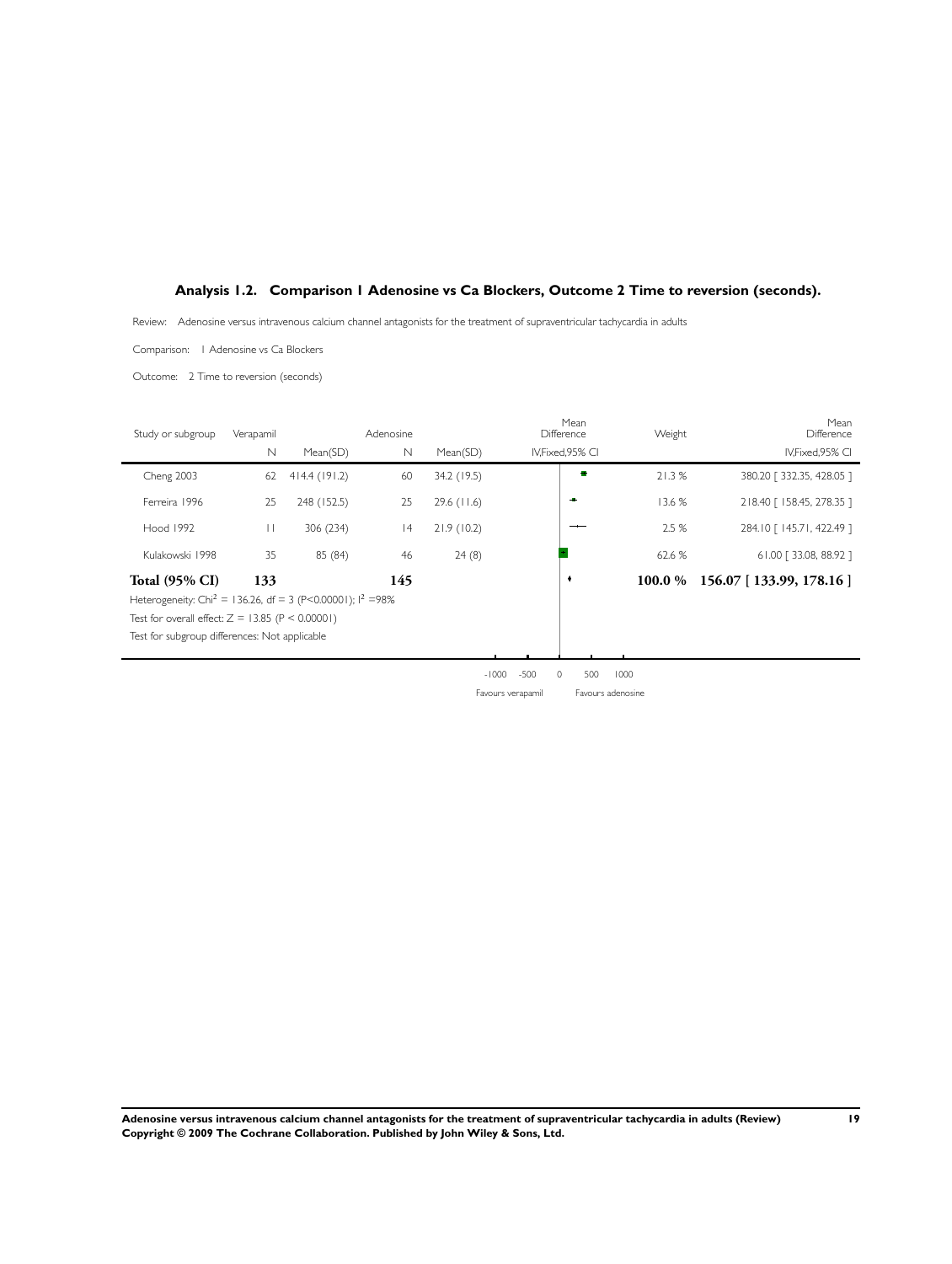## <span id="page-20-0"></span>**Analysis 1.2. Comparison 1 Adenosine vs Ca Blockers, Outcome 2 Time to reversion (seconds).**

Review: Adenosine versus intravenous calcium channel antagonists for the treatment of supraventricular tachycardia in adults

Comparison: 1 Adenosine vs Ca Blockers

Outcome: 2 Time to reversion (seconds)

| Study or subgroup                                                                                                                                                                                          | Verapamil<br>$\mathbb N$ | Mean(SD)      | Adenosine<br>$\hbox{N}$ | Mean(SD)    | Mean<br>Difference<br>IV,Fixed,95% CI          | Weight                    | Mean<br>Difference<br>IV,Fixed,95% CI |
|------------------------------------------------------------------------------------------------------------------------------------------------------------------------------------------------------------|--------------------------|---------------|-------------------------|-------------|------------------------------------------------|---------------------------|---------------------------------------|
| Cheng 2003                                                                                                                                                                                                 | 62                       | 414.4 (191.2) | 60                      | 34.2 (19.5) | 뤁                                              | 21.3%                     | 380.20 [ 332.35, 428.05 ]             |
| Ferreira 1996                                                                                                                                                                                              | 25                       | 248 (152.5)   | 25                      | 29.6 (11.6) | ٠                                              | 13.6 %                    | 218.40 [158.45, 278.35]               |
| Hood 1992                                                                                                                                                                                                  | $\ \hspace{1mm}\ $       | 306 (234)     | 4                       | 21.9(10.2)  |                                                | 2.5 %                     | 284.10 [ 145.71, 422.49 ]             |
| Kulakowski 1998                                                                                                                                                                                            | 35                       | 85 (84)       | 46                      | 24(8)       |                                                | 62.6 %                    | 61.00 [33.08, 88.92]                  |
| Total (95% CI)<br>Heterogeneity: Chi <sup>2</sup> = 136.26, df = 3 (P<0.00001); l <sup>2</sup> =98%<br>Test for overall effect: $Z = 13.85$ (P < 0.00001)<br>Test for subgroup differences: Not applicable | 133                      |               | 145                     |             | ۰                                              | 100.0%                    | 156.07 [133.99, 178.16]               |
|                                                                                                                                                                                                            |                          |               |                         |             |                                                |                           |                                       |
|                                                                                                                                                                                                            |                          |               |                         |             | $-1000 - 500$<br>500<br>Ò<br>Favours verapamil | 1000<br>Favours adenosine |                                       |
|                                                                                                                                                                                                            |                          |               |                         |             |                                                |                           |                                       |
|                                                                                                                                                                                                            |                          |               |                         |             |                                                |                           |                                       |
|                                                                                                                                                                                                            |                          |               |                         |             |                                                |                           |                                       |
|                                                                                                                                                                                                            |                          |               |                         |             |                                                |                           |                                       |
|                                                                                                                                                                                                            |                          |               |                         |             |                                                |                           |                                       |
|                                                                                                                                                                                                            |                          |               |                         |             |                                                |                           |                                       |
|                                                                                                                                                                                                            |                          |               |                         |             |                                                |                           |                                       |
|                                                                                                                                                                                                            |                          |               |                         |             |                                                |                           |                                       |
|                                                                                                                                                                                                            |                          |               |                         |             |                                                |                           |                                       |
|                                                                                                                                                                                                            |                          |               |                         |             |                                                |                           |                                       |
|                                                                                                                                                                                                            |                          |               |                         |             |                                                |                           |                                       |
|                                                                                                                                                                                                            |                          |               |                         |             |                                                |                           |                                       |
|                                                                                                                                                                                                            |                          |               |                         |             |                                                |                           |                                       |
|                                                                                                                                                                                                            |                          |               |                         |             |                                                |                           |                                       |

**Adenosine versus intravenous calcium channel antagonists for the treatment of supraventricular tachycardia in adults (Review) 19 Copyright © 2009 The Cochrane Collaboration. Published by John Wiley & Sons, Ltd.**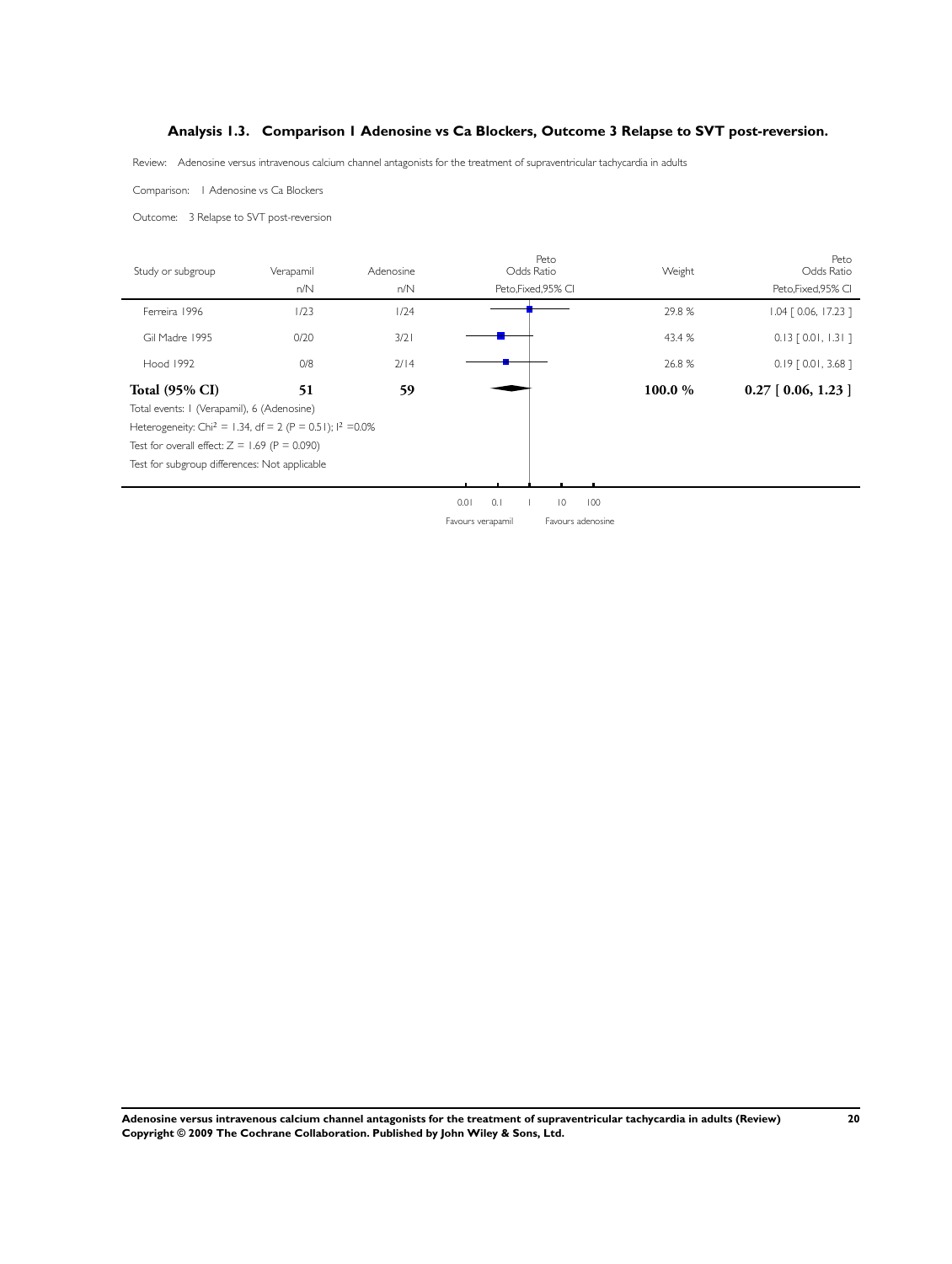## **Analysis 1.3. Comparison 1 Adenosine vs Ca Blockers, Outcome 3 Relapse to SVT post-reversion.**

<span id="page-21-0"></span>Review: Adenosine versus intravenous calcium channel antagonists for the treatment of supraventricular tachycardia in adults

Comparison: 1 Adenosine vs Ca Blockers

Outcome: 3 Relapse to SVT post-reversion

| Study or subgroup                                                      | Verapamil | Adenosine | Peto<br>Odds Ratio  | Weight | Peto<br>Odds Ratio    |
|------------------------------------------------------------------------|-----------|-----------|---------------------|--------|-----------------------|
|                                                                        | n/N       | n/N       | Peto, Fixed, 95% CI |        | Peto, Fixed, 95% CI   |
| Ferreira 1996                                                          | 1/23      | 1/24      |                     | 29.8 % | 1.04 [ 0.06, 17.23 ]  |
| Gil Madre 1995                                                         | 0/20      | 3/2       |                     | 43.4 % | $0.13$ [ 0.01, 1.31 ] |
| <b>Hood 1992</b>                                                       | O/8       | 2/14      |                     | 26.8%  | $0.19$ $[0.01, 3.68]$ |
| <b>Total (95% CI)</b>                                                  | 51        | 59        |                     | 100.0% | $0.27$ [ 0.06, 1.23 ] |
| Total events: I (Verapamil), 6 (Adenosine)                             |           |           |                     |        |                       |
| Heterogeneity: Chi <sup>2</sup> = 1.34, df = 2 (P = 0.51); $1^2$ =0.0% |           |           |                     |        |                       |
| Test for overall effect: $Z = 1.69$ (P = 0.090)                        |           |           |                     |        |                       |
| Test for subgroup differences: Not applicable                          |           |           |                     |        |                       |
|                                                                        |           |           |                     |        |                       |

 $0.01$  0.1 10 100

Favours verapamil Favours adenosine

**Adenosine versus intravenous calcium channel antagonists for the treatment of supraventricular tachycardia in adults (Review) 20 Copyright © 2009 The Cochrane Collaboration. Published by John Wiley & Sons, Ltd.**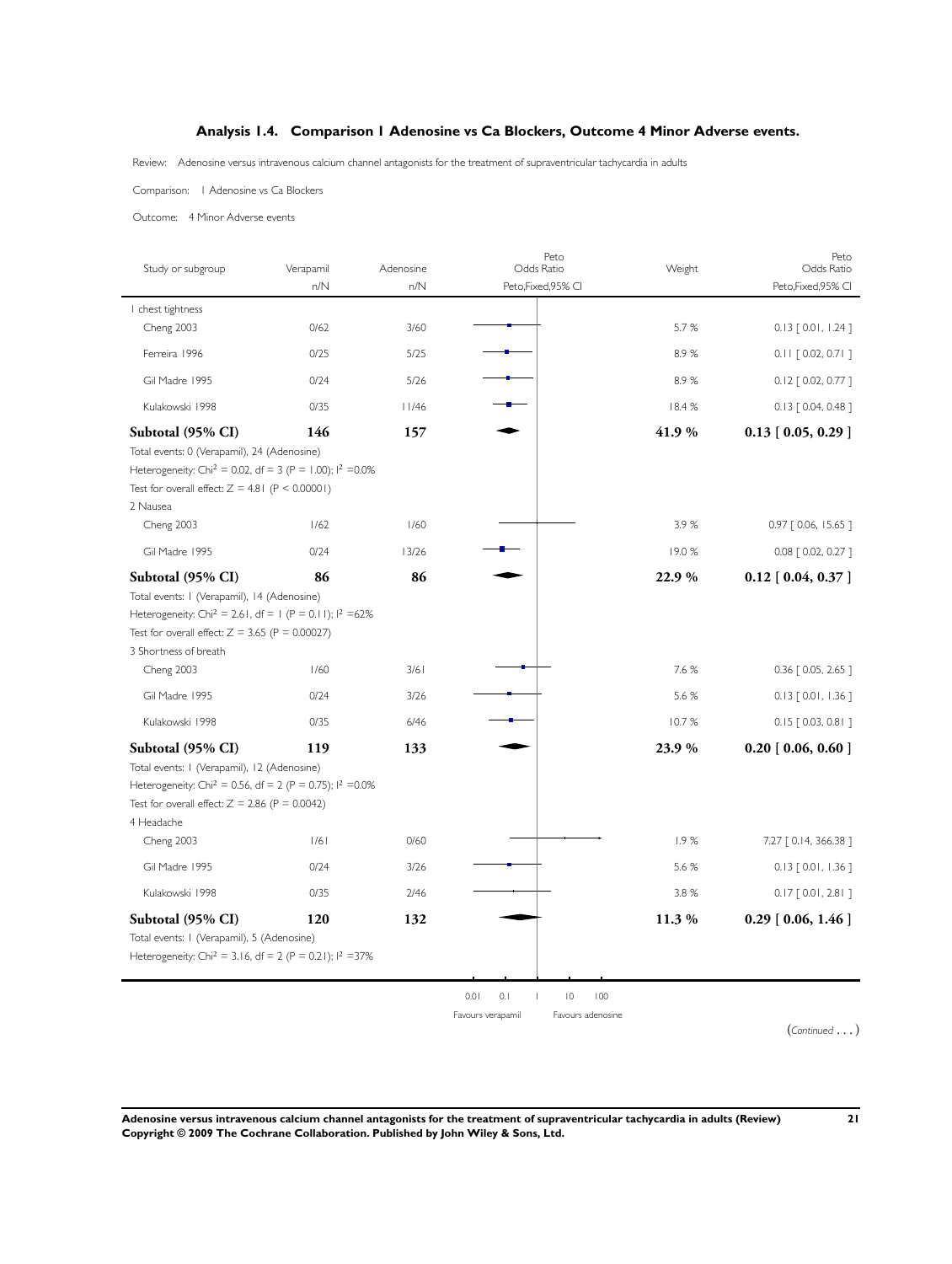## **Analysis 1.4. Comparison 1 Adenosine vs Ca Blockers, Outcome 4 Minor Adverse events.**

<span id="page-22-0"></span>Review: Adenosine versus intravenous calcium channel antagonists for the treatment of supraventricular tachycardia in adults

Comparison: 1 Adenosine vs Ca Blockers

Outcome: 4 Minor Adverse events

| Study or subgroup                                                                                                                                                                                                          | Verapamil<br>n/N | Adenosine<br>n/N | Peto<br>Odds Ratio<br>Peto, Fixed, 95% CI                                      | Weight        | Peto<br>Odds Ratio<br>Peto, Fixed, 95% CI    |
|----------------------------------------------------------------------------------------------------------------------------------------------------------------------------------------------------------------------------|------------------|------------------|--------------------------------------------------------------------------------|---------------|----------------------------------------------|
| I chest tightness                                                                                                                                                                                                          |                  |                  |                                                                                |               |                                              |
| Cheng 2003                                                                                                                                                                                                                 | 0/62             | 3/60             |                                                                                | 5.7%          | $0.13$ $[0.01, 1.24]$                        |
| Ferreira 1996                                                                                                                                                                                                              | 0/25             | 5/25             |                                                                                | 8.9%          | $0.11$ $[0.02, 0.71]$                        |
| Gil Madre 1995                                                                                                                                                                                                             | 0/24             | 5/26             |                                                                                | 8.9%          | $0.12$ $[0.02, 0.77]$                        |
| Kulakowski 1998                                                                                                                                                                                                            | 0/35             | 11/46            |                                                                                | 18.4%         | $0.13$ $[0.04, 0.48]$                        |
| Subtotal (95% CI)                                                                                                                                                                                                          | 146              | 157              |                                                                                | 41.9%         | $0.13$ [ 0.05, 0.29 ]                        |
| Total events: 0 (Verapamil), 24 (Adenosine)<br>Heterogeneity: Chi <sup>2</sup> = 0.02, df = 3 (P = 1.00); l <sup>2</sup> = 0.0%<br>Test for overall effect: $Z = 4.81$ (P < 0.00001)<br>2 Nausea                           |                  |                  |                                                                                |               |                                              |
| Cheng 2003                                                                                                                                                                                                                 | 1/62             | 1/60             |                                                                                | 3.9%          | 0.97 [0.06, 15.65]                           |
| Gil Madre 1995                                                                                                                                                                                                             | 0/24             | 13/26            |                                                                                | 19.0%         | $0.08$ $[0.02, 0.27]$                        |
| Subtotal (95% CI)<br>Total events: I (Verapamil), 14 (Adenosine)<br>Heterogeneity: Chi <sup>2</sup> = 2.61, df = 1 (P = 0.11); $1^2$ =62%<br>Test for overall effect: $Z = 3.65$ (P = 0.00027)<br>3 Shortness of breath    | 86               | 86               |                                                                                | 22.9%         | $0.12$ [ $0.04$ , $0.37$ ]                   |
| Cheng 2003                                                                                                                                                                                                                 | 1/60             | 3/61             |                                                                                | 7.6 %         | $0.36$ $[0.05, 2.65]$                        |
| Gil Madre 1995                                                                                                                                                                                                             | 0/24             | 3/26             |                                                                                | 5.6 %         | $0.13$ $[0.01, 1.36]$                        |
| Kulakowski 1998                                                                                                                                                                                                            | 0/35             | 6/46             |                                                                                | 10.7%         | $0.15$ $[0.03, 0.81]$                        |
| Subtotal (95% CI)<br>Total events: I (Verapamil), 12 (Adenosine)<br>Heterogeneity: Chi <sup>2</sup> = 0.56, df = 2 (P = 0.75); $1^2$ =0.0%<br>Test for overall effect: $Z = 2.86$ (P = 0.0042)<br>4 Headache<br>Cheng 2003 | 119<br>1/61      | 133<br>0/60      |                                                                                | 23.9%<br>1.9% | $0.20$ [ 0.06, 0.60 ]<br>7.27 [0.14, 366.38] |
| Gil Madre 1995                                                                                                                                                                                                             | 0/24             | 3/26             |                                                                                | 5.6 %         | $0.13$ [ 0.01, 1.36 ]                        |
| Kulakowski 1998                                                                                                                                                                                                            | 0/35             | 2/46             |                                                                                | 3.8 %         | $0.17$ $[0.01, 2.81]$                        |
| Subtotal (95% CI)<br>Total events: I (Verapamil), 5 (Adenosine)<br>Heterogeneity: Chi <sup>2</sup> = 3.16, df = 2 (P = 0.21); $1^2$ = 37%                                                                                  | 120              | 132              |                                                                                | 11.3 %        | $0.29$ [ 0.06, 1.46 ]                        |
|                                                                                                                                                                                                                            |                  |                  | 0.01<br>0.1<br>$\overline{0}$<br>100<br>Favours verapamil<br>Favours adenosine |               |                                              |

(*Continued* ... )

**Adenosine versus intravenous calcium channel antagonists for the treatment of supraventricular tachycardia in adults (Review) 21 Copyright © 2009 The Cochrane Collaboration. Published by John Wiley & Sons, Ltd.**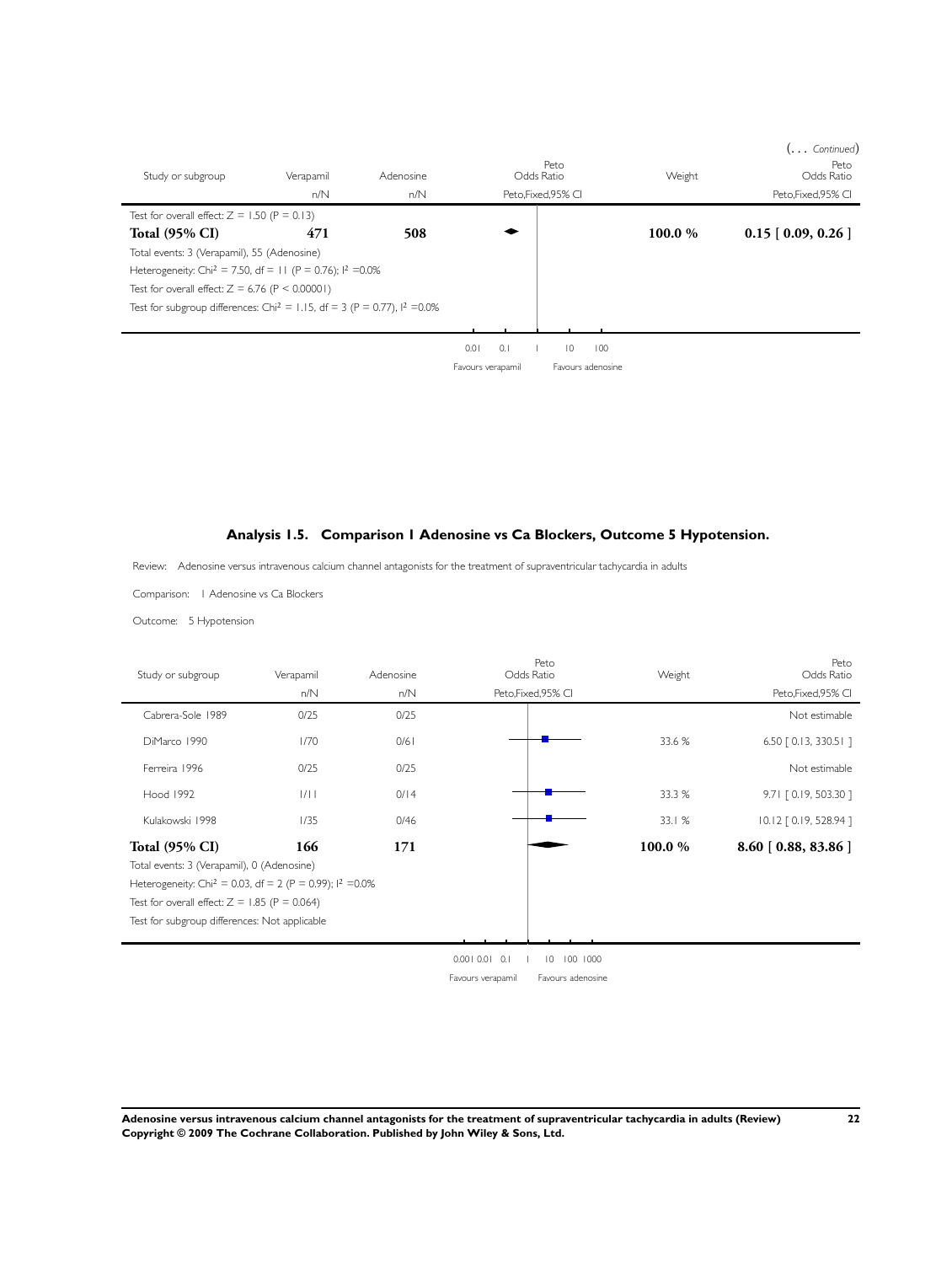<span id="page-23-0"></span>

| Study or subgroup                                                                       | Verapamil | Adenosine |                   |     | Peto<br>Odds Ratio  |                   | Weight | $( \ldots$ Continued)<br>Peto<br>Odds Ratio |
|-----------------------------------------------------------------------------------------|-----------|-----------|-------------------|-----|---------------------|-------------------|--------|---------------------------------------------|
|                                                                                         | n/N       | n/N       |                   |     | Peto, Fixed, 95% CI |                   |        | Peto, Fixed, 95% CI                         |
| Test for overall effect: $Z = 1.50$ (P = 0.13)                                          |           |           |                   |     |                     |                   |        |                                             |
| <b>Total (95% CI)</b>                                                                   | 471       | 508       |                   |     |                     |                   | 100.0% | $0.15$ [ 0.09, 0.26 ]                       |
| Total events: 3 (Verapamil), 55 (Adenosine)                                             |           |           |                   |     |                     |                   |        |                                             |
| Heterogeneity: Chi <sup>2</sup> = 7.50, df = 11 (P = 0.76); $1^2$ =0.0%                 |           |           |                   |     |                     |                   |        |                                             |
| Test for overall effect: $Z = 6.76$ (P < 0.00001)                                       |           |           |                   |     |                     |                   |        |                                             |
| Test for subgroup differences: Chi <sup>2</sup> = 1.15, df = 3 (P = 0.77), $1^2$ = 0.0% |           |           |                   |     |                     |                   |        |                                             |
|                                                                                         |           |           |                   |     |                     |                   |        |                                             |
|                                                                                         |           |           | 0.01              | 0.1 | $\overline{0}$      | 100               |        |                                             |
|                                                                                         |           |           | Favours verapamil |     |                     | Favours adenosine |        |                                             |
|                                                                                         |           |           |                   |     |                     |                   |        |                                             |

## **Analysis 1.5. Comparison 1 Adenosine vs Ca Blockers, Outcome 5 Hypotension.**

Review: Adenosine versus intravenous calcium channel antagonists for the treatment of supraventricular tachycardia in adults

Comparison: 1 Adenosine vs Ca Blockers

Outcome: 5 Hypotension

| Study or subgroup                                                       | Verapamil | Adenosine | Peto<br>Odds Ratio                                 | Weight | Peto<br>Odds Ratio           |
|-------------------------------------------------------------------------|-----------|-----------|----------------------------------------------------|--------|------------------------------|
|                                                                         | n/N       | n/N       | Peto, Fixed, 95% CI                                |        | Peto, Fixed, 95% CI          |
| Cabrera-Sole 1989                                                       | 0/25      | 0/25      |                                                    |        | Not estimable                |
| DiMarco 1990                                                            | 1/70      | 0/6       |                                                    | 33.6 % | 6.50 $\lceil$ 0.13, 330.51 ] |
| Ferreira 1996                                                           | 0/25      | 0/25      |                                                    |        | Not estimable                |
| Hood 1992                                                               | 1/1       | 0/14      |                                                    | 33.3 % | $9.71$ [ 0.19, 503.30 ]      |
| Kulakowski 1998                                                         | 1/35      | 0/46      |                                                    | 33.1 % | $10.12$ [ 0.19, 528.94 ]     |
| <b>Total (95% CI)</b>                                                   | 166       | 171       |                                                    | 100.0% | $8.60$ [ 0.88, 83.86 ]       |
| Total events: 3 (Verapamil), 0 (Adenosine)                              |           |           |                                                    |        |                              |
| Heterogeneity: Chi <sup>2</sup> = 0.03, df = 2 (P = 0.99); $1^2$ = 0.0% |           |           |                                                    |        |                              |
| Test for overall effect: $Z = 1.85$ (P = 0.064)                         |           |           |                                                    |        |                              |
| Test for subgroup differences: Not applicable                           |           |           |                                                    |        |                              |
|                                                                         |           |           |                                                    |        |                              |
|                                                                         |           |           | $0.001$ $0.01$ $0.1$<br>100 1000<br>$\overline{0}$ |        |                              |
|                                                                         |           |           | Favours adenosine<br>Favours verapamil             |        |                              |

**Adenosine versus intravenous calcium channel antagonists for the treatment of supraventricular tachycardia in adults (Review) 22 Copyright © 2009 The Cochrane Collaboration. Published by John Wiley & Sons, Ltd.**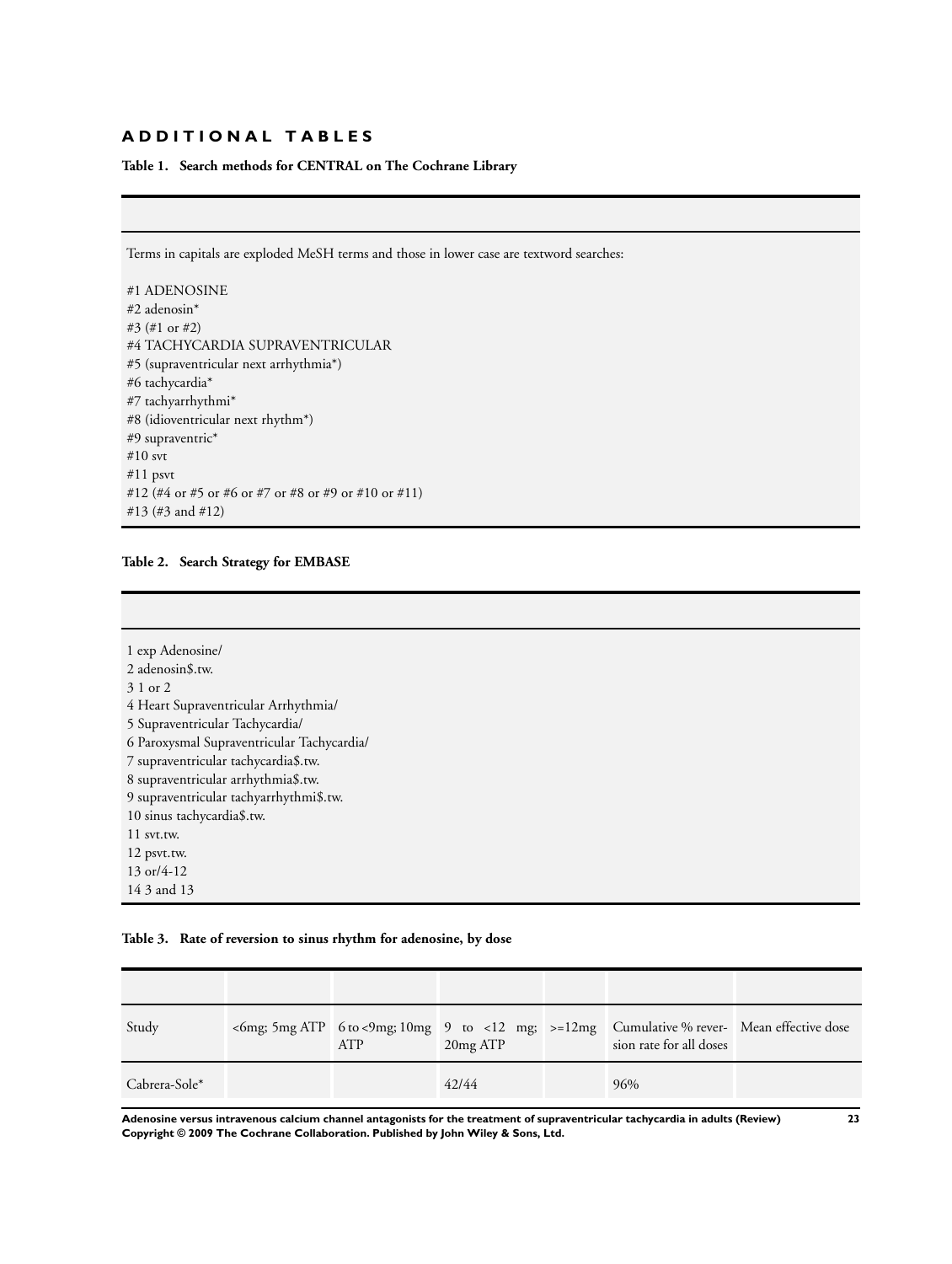## <span id="page-24-0"></span>**A D D I T I O N A L T A B L E S**

## **Table 1. Search methods for CENTRAL on The Cochrane Library**

Terms in capitals are exploded MeSH terms and those in lower case are textword searches:

#1 ADENOSINE #2 adenosin\* #3 (#1 or #2) #4 TACHYCARDIA SUPRAVENTRICULAR #5 (supraventricular next arrhythmia\*) #6 tachycardia\* #7 tachyarrhythmi\* #8 (idioventricular next rhythm\*) #9 supraventric\* #10 svt #11 psvt #12 (#4 or #5 or #6 or #7 or #8 or #9 or #10 or #11) #13 (#3 and #12)

## **Table 2. Search Strategy for EMBASE**

| 1 exp Adenosine/                           |
|--------------------------------------------|
| 2 adenosin\$.tw.                           |
| 3 1 or 2                                   |
| 4 Heart Supraventricular Arrhythmia/       |
| 5 Supraventricular Tachycardia/            |
| 6 Paroxysmal Supraventricular Tachycardia/ |
| 7 supraventricular tachycardia\$.tw.       |
| 8 supraventricular arrhythmia\$.tw.        |
| 9 supraventricular tachyarrhythmi\$.tw.    |
| 10 sinus tachycardia\$.tw.                 |
| $11$ svt.tw.                               |
| 12 psyt.tw.                                |
| $13 \text{ or}/4 - 12$                     |
| 14 3 and 13                                |

## **Table 3. Rate of reversion to sinus rhythm for adenosine, by dose**

| Study         | ATP | 20mg ATP | <6mg; 5mg ATP 6 to <9mg; 10mg 9 to <12 mg; >=12mg Cumulative % rever- Mean effective dose<br>sion rate for all doses |  |
|---------------|-----|----------|----------------------------------------------------------------------------------------------------------------------|--|
| Cabrera-Sole* |     | 42/44    | 96%                                                                                                                  |  |

**Adenosine versus intravenous calcium channel antagonists for the treatment of supraventricular tachycardia in adults (Review) 23 Copyright © 2009 The Cochrane Collaboration. Published by John Wiley & Sons, Ltd.**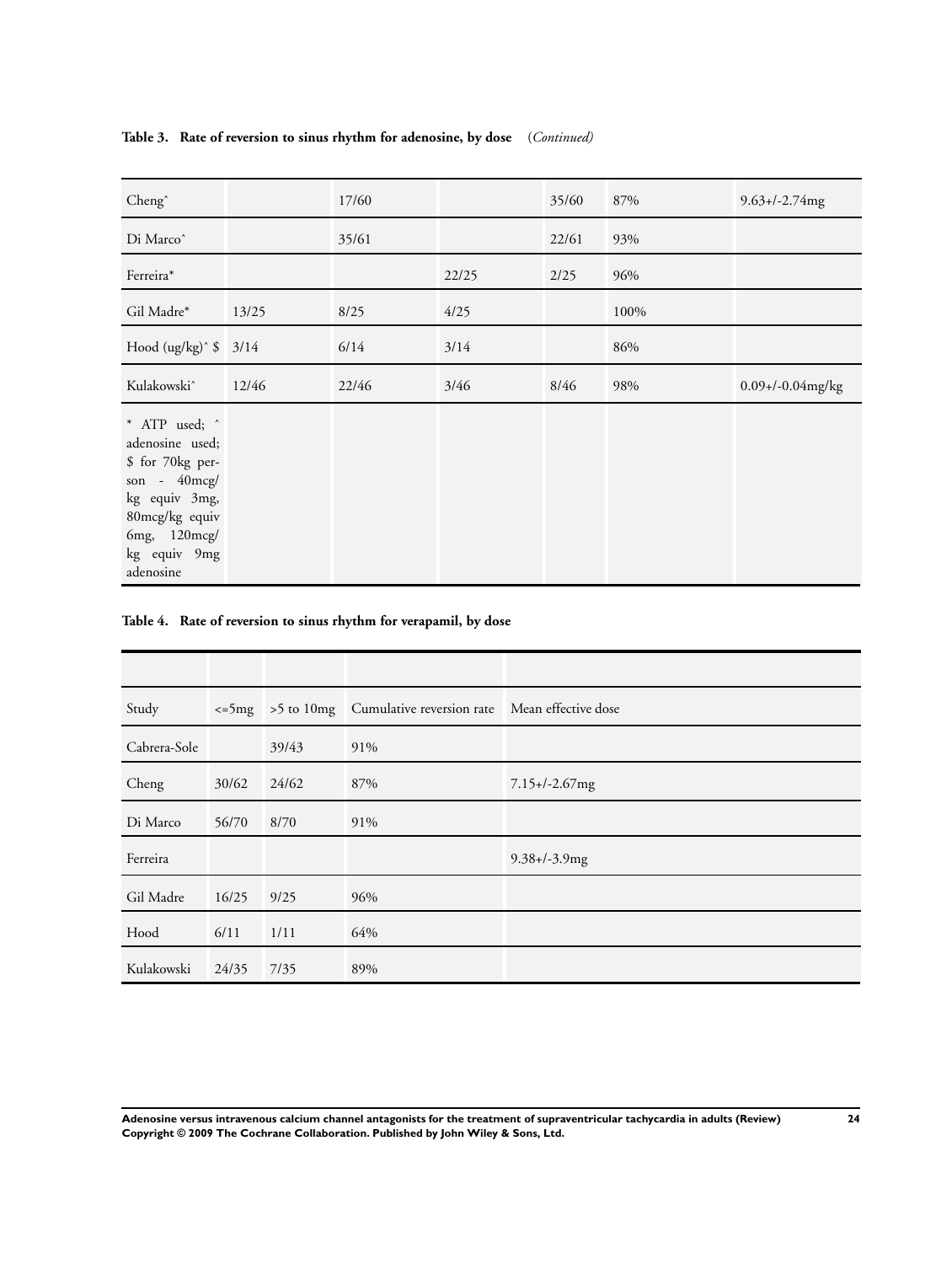## <span id="page-25-0"></span>**Table 3. Rate of reversion to sinus rhythm for adenosine, by dose** (*Continued)*

| Cheng <sup>^</sup>                                                                                                                                   |       | 17/60 |       | 35/60 | 87%  | $9.63 + 1.274$ mg     |
|------------------------------------------------------------------------------------------------------------------------------------------------------|-------|-------|-------|-------|------|-----------------------|
| Di Marco <sup>^</sup>                                                                                                                                |       | 35/61 |       | 22/61 | 93%  |                       |
| Ferreira*                                                                                                                                            |       |       | 22/25 | 2/25  | 96%  |                       |
| Gil Madre*                                                                                                                                           | 13/25 | 8/25  | 4/25  |       | 100% |                       |
| Hood $(ug/kg)^{3}$ \$ 3/14                                                                                                                           |       | 6/14  | 3/14  |       | 86%  |                       |
| Kulakowski^                                                                                                                                          | 12/46 | 22/46 | 3/46  | 8/46  | 98%  | $0.09 + (-0.04$ mg/kg |
| * ATP used; ^<br>adenosine used;<br>\$ for 70kg per-<br>son - 40mcg/<br>kg equiv 3mg,<br>80mcg/kg equiv<br>6mg, 120mcg/<br>kg equiv 9mg<br>adenosine |       |       |       |       |      |                       |

## **Table 4. Rate of reversion to sinus rhythm for verapamil, by dose**

| Study        |       |       | <= 5mg > 5 to 10mg Cumulative reversion rate Mean effective dose |                    |
|--------------|-------|-------|------------------------------------------------------------------|--------------------|
| Cabrera-Sole |       | 39/43 | 91%                                                              |                    |
| Cheng        | 30/62 | 24/62 | 87%                                                              | 7.15+/-2.67mg      |
| Di Marco     | 56/70 | 8/70  | 91%                                                              |                    |
| Ferreira     |       |       |                                                                  | $9.38 + (-3.9)$ mg |
| Gil Madre    | 16/25 | 9/25  | 96%                                                              |                    |
| Hood         | 6/11  | 1/11  | 64%                                                              |                    |
| Kulakowski   | 24/35 | 7/35  | 89%                                                              |                    |

**Adenosine versus intravenous calcium channel antagonists for the treatment of supraventricular tachycardia in adults (Review) 24 Copyright © 2009 The Cochrane Collaboration. Published by John Wiley & Sons, Ltd.**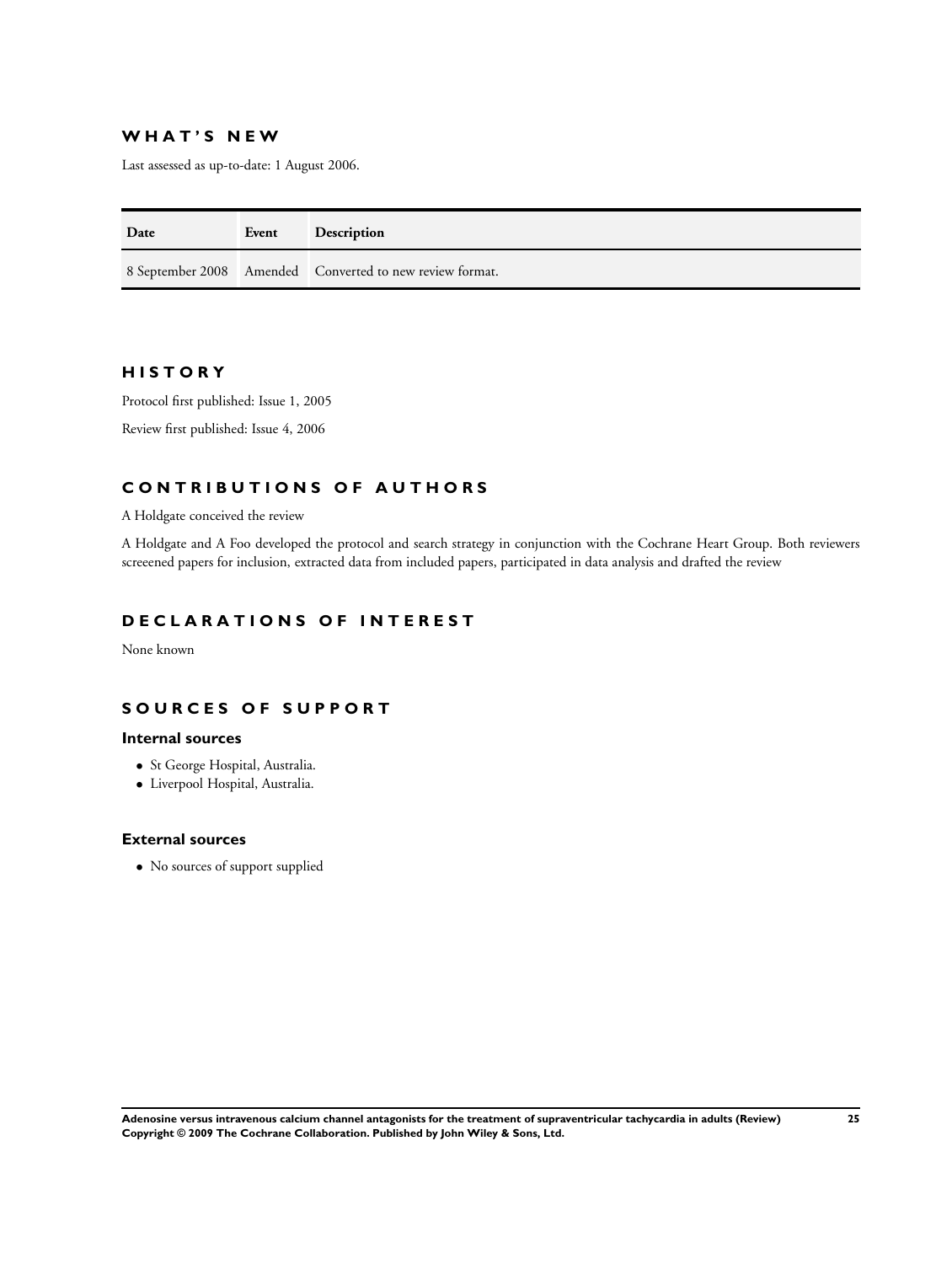## **W H A T ' S N E W**

Last assessed as up-to-date: 1 August 2006.

| Date | Event | <b>Description</b>                                       |
|------|-------|----------------------------------------------------------|
|      |       | 8 September 2008 Amended Converted to new review format. |

## **H I S T O R Y**

Protocol first published: Issue 1, 2005

Review first published: Issue 4, 2006

## **C O N T R I B U T I O N S O F A U T H O R S**

## A Holdgate conceived the review

A Holdgate and A Foo developed the protocol and search strategy in conjunction with the Cochrane Heart Group. Both reviewers screeened papers for inclusion, extracted data from included papers, participated in data analysis and drafted the review

## **D E C L A R A T I O N S O F I N T E R E S T**

None known

## **S O U R C E S O F S U P P O R T**

## **Internal sources**

- St George Hospital, Australia.
- Liverpool Hospital, Australia.

## **External sources**

• No sources of support supplied